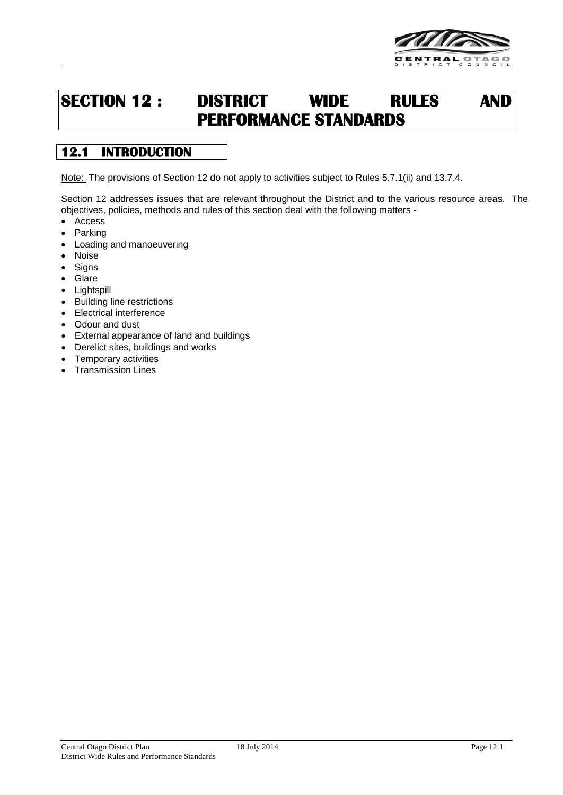

# **SECTION 12 : DISTRICT WIDE RULES AND PERFORMANCE STANDARDS**

## **12.1 INTRODUCTION**

Note: The provisions of Section 12 do not apply to activities subject to Rules 5.7.1(ii) and 13.7.4.

Section 12 addresses issues that are relevant throughout the District and to the various resource areas. The objectives, policies, methods and rules of this section deal with the following matters -

- Access
- **Parking**
- Loading and manoeuvering
- Noise
- **Signs**
- **Glare**
- Lightspill
- Building line restrictions
- Electrical interference
- Odour and dust
- External appearance of land and buildings
- Derelict sites, buildings and works
- Temporary activities
- Transmission Lines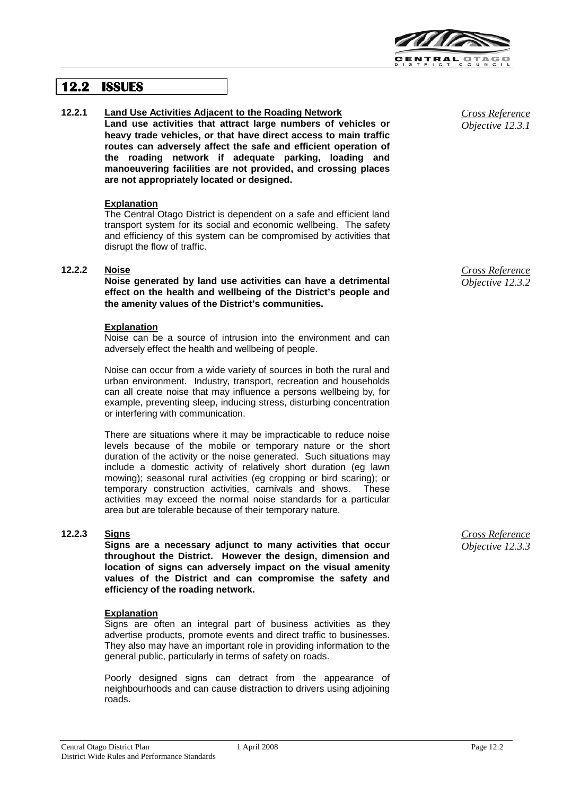

## **12.2 ISSUES**

#### **12.2.1 Land Use Activities Adjacent to the Roading Network**

**Land use activities that attract large numbers of vehicles or heavy trade vehicles, or that have direct access to main traffic routes can adversely affect the safe and efficient operation of the roading network if adequate parking, loading and manoeuvering facilities are not provided, and crossing places are not appropriately located or designed.**

#### **Explanation**

The Central Otago District is dependent on a safe and efficient land transport system for its social and economic wellbeing. The safety and efficiency of this system can be compromised by activities that disrupt the flow of traffic.

#### **12.2.2 Noise**

**Noise generated by land use activities can have a detrimental effect on the health and wellbeing of the District's people and the amenity values of the District's communities.**

#### **Explanation**

Noise can be a source of intrusion into the environment and can adversely effect the health and wellbeing of people.

Noise can occur from a wide variety of sources in both the rural and urban environment. Industry, transport, recreation and households can all create noise that may influence a persons wellbeing by, for example, preventing sleep, inducing stress, disturbing concentration or interfering with communication.

There are situations where it may be impracticable to reduce noise levels because of the mobile or temporary nature or the short duration of the activity or the noise generated. Such situations may include a domestic activity of relatively short duration (eg lawn mowing); seasonal rural activities (eg cropping or bird scaring); or temporary construction activities, carnivals and shows. These activities may exceed the normal noise standards for a particular area but are tolerable because of their temporary nature.

#### **12.2.3 Signs**

**Signs are a necessary adjunct to many activities that occur throughout the District. However the design, dimension and location of signs can adversely impact on the visual amenity values of the District and can compromise the safety and efficiency of the roading network.**

#### **Explanation**

Signs are often an integral part of business activities as they advertise products, promote events and direct traffic to businesses. They also may have an important role in providing information to the general public, particularly in terms of safety on roads.

Poorly designed signs can detract from the appearance of neighbourhoods and can cause distraction to drivers using adjoining roads.

*Cross Reference Objective 12.3.1*

*Cross Reference Objective 12.3.2*

*Cross Reference Objective 12.3.3*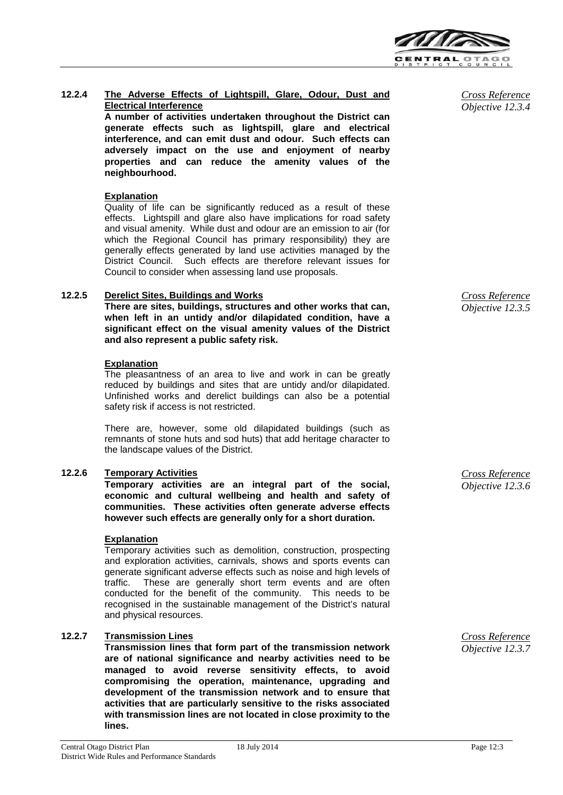

#### **12.2.4 The Adverse Effects of Lightspill, Glare, Odour, Dust and Electrical Interference**

**A number of activities undertaken throughout the District can generate effects such as lightspill, glare and electrical interference, and can emit dust and odour. Such effects can adversely impact on the use and enjoyment of nearby properties and can reduce the amenity values of the neighbourhood.**

#### **Explanation**

Quality of life can be significantly reduced as a result of these effects. Lightspill and glare also have implications for road safety and visual amenity. While dust and odour are an emission to air (for which the Regional Council has primary responsibility) they are generally effects generated by land use activities managed by the District Council. Such effects are therefore relevant issues for Council to consider when assessing land use proposals.

#### **12.2.5 Derelict Sites, Buildings and Works**

**There are sites, buildings, structures and other works that can, when left in an untidy and/or dilapidated condition, have a significant effect on the visual amenity values of the District and also represent a public safety risk.**

#### **Explanation**

The pleasantness of an area to live and work in can be greatly reduced by buildings and sites that are untidy and/or dilapidated. Unfinished works and derelict buildings can also be a potential safety risk if access is not restricted.

There are, however, some old dilapidated buildings (such as remnants of stone huts and sod huts) that add heritage character to the landscape values of the District.

#### **12.2.6 Temporary Activities**

**Temporary activities are an integral part of the social, economic and cultural wellbeing and health and safety of communities. These activities often generate adverse effects however such effects are generally only for a short duration.**

#### **Explanation**

Temporary activities such as demolition, construction, prospecting and exploration activities, carnivals, shows and sports events can generate significant adverse effects such as noise and high levels of traffic. These are generally short term events and are often conducted for the benefit of the community. This needs to be recognised in the sustainable management of the District's natural and physical resources.

#### **12.2.7 Transmission Lines**

**Transmission lines that form part of the transmission network are of national significance and nearby activities need to be managed to avoid reverse sensitivity effects, to avoid compromising the operation, maintenance, upgrading and development of the transmission network and to ensure that activities that are particularly sensitive to the risks associated with transmission lines are not located in close proximity to the lines.**

*Cross Reference Objective 12.3.4*

*Cross Reference Objective 12.3.5*

*Cross Reference Objective 12.3.6*

*Cross Reference Objective 12.3.7*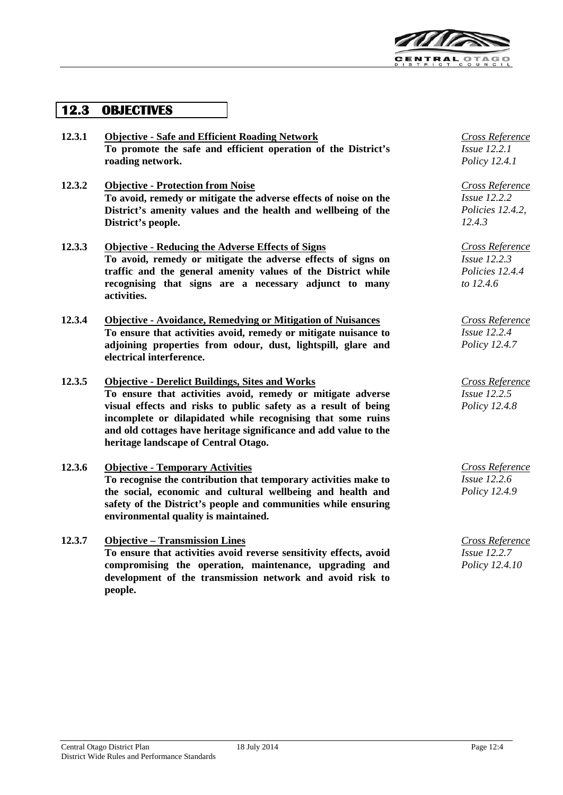

## **12.3 OBJECTIVES**

- **12.3.1 Objective - Safe and Efficient Roading Network To promote the safe and efficient operation of the District's roading network.**
- **12.3.2 Objective - Protection from Noise To avoid, remedy or mitigate the adverse effects of noise on the District's amenity values and the health and wellbeing of the District's people.**
- **12.3.3 Objective - Reducing the Adverse Effects of Signs To avoid, remedy or mitigate the adverse effects of signs on traffic and the general amenity values of the District while recognising that signs are a necessary adjunct to many activities.**
- **12.3.4 Objective - Avoidance, Remedying or Mitigation of Nuisances To ensure that activities avoid, remedy or mitigate nuisance to adjoining properties from odour, dust, lightspill, glare and electrical interference.**
- **12.3.5 Objective - Derelict Buildings, Sites and Works To ensure that activities avoid, remedy or mitigate adverse visual effects and risks to public safety as a result of being incomplete or dilapidated while recognising that some ruins and old cottages have heritage significance and add value to the heritage landscape of Central Otago.**
- **12.3.6 Objective - Temporary Activities** *Cross Reference* **To recognise the contribution that temporary activities make to the social, economic and cultural wellbeing and health and safety of the District's people and communities while ensuring environmental quality is maintained.**
- **12.3.7 Objective – Transmission Lines To ensure that activities avoid reverse sensitivity effects, avoid compromising the operation, maintenance, upgrading and development of the transmission network and avoid risk to people.**

*Cross Reference Issue 12.2.1 Policy 12.4.1*

*Cross Reference Issue 12.2.2 Policies 12.4.2, 12.4.3*

*Cross Reference Issue 12.2.3 Policies 12.4.4 to 12.4.6*

*Cross Reference Issue 12.2.4 Policy 12.4.7*

*Cross Reference Issue 12.2.5 Policy 12.4.8*

*Issue 12.2.6 Policy 12.4.9*

*Cross Reference Issue 12.2.7 Policy 12.4.10*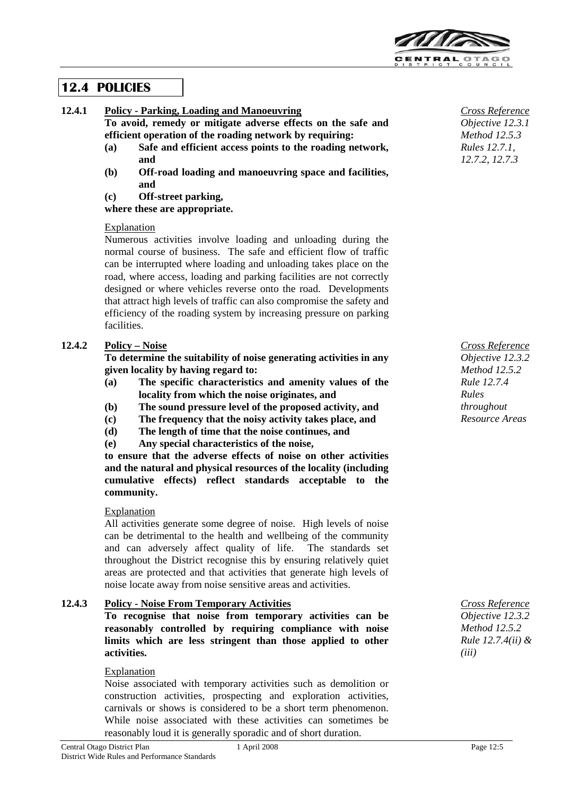

## **12.4 POLICIES**

**12.4.1 Policy - Parking, Loading and Manoeuvring**

**To avoid, remedy or mitigate adverse effects on the safe and efficient operation of the roading network by requiring:**

- **(a) Safe and efficient access points to the roading network, and**
- **(b) Off-road loading and manoeuvring space and facilities, and**

**(c) Off-street parking,**

**where these are appropriate.**

#### Explanation

Numerous activities involve loading and unloading during the normal course of business. The safe and efficient flow of traffic can be interrupted where loading and unloading takes place on the road, where access, loading and parking facilities are not correctly designed or where vehicles reverse onto the road. Developments that attract high levels of traffic can also compromise the safety and efficiency of the roading system by increasing pressure on parking facilities.

## **12.4.2 Policy – Noise**

**To determine the suitability of noise generating activities in any given locality by having regard to:**

- **(a) The specific characteristics and amenity values of the locality from which the noise originates, and**
- **(b) The sound pressure level of the proposed activity, and**
- **(c) The frequency that the noisy activity takes place, and**
- **(d) The length of time that the noise continues, and**
- **(e) Any special characteristics of the noise,**

**to ensure that the adverse effects of noise on other activities and the natural and physical resources of the locality (including cumulative effects) reflect standards acceptable to the community.**

#### **Explanation**

All activities generate some degree of noise. High levels of noise can be detrimental to the health and wellbeing of the community and can adversely affect quality of life. The standards set throughout the District recognise this by ensuring relatively quiet areas are protected and that activities that generate high levels of noise locate away from noise sensitive areas and activities.

### **12.4.3 Policy - Noise From Temporary Activities**

**To recognise that noise from temporary activities can be reasonably controlled by requiring compliance with noise limits which are less stringent than those applied to other activities.**

#### Explanation

Noise associated with temporary activities such as demolition or construction activities, prospecting and exploration activities, carnivals or shows is considered to be a short term phenomenon. While noise associated with these activities can sometimes be reasonably loud it is generally sporadic and of short duration.

*Cross Reference Objective 12.3.1 Method 12.5.3 Rules 12.7.1, 12.7.2, 12.7.3*

*Cross Reference Objective 12.3.2 Method 12.5.2 Rule 12.7.4 Rules throughout Resource Areas*

*Cross Reference Objective 12.3.2 Method 12.5.2 Rule 12.7.4(ii) & (iii)*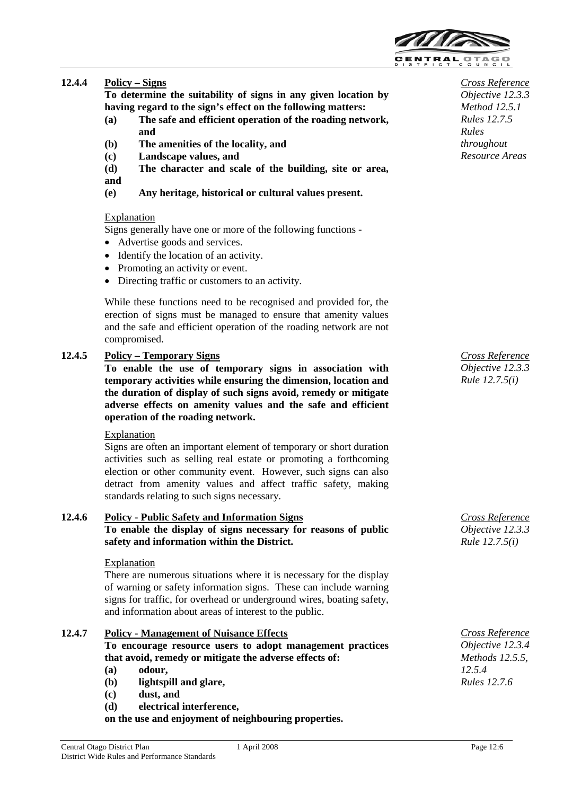

## **12.4.4 Policy – Signs**

**To determine the suitability of signs in any given location by having regard to the sign's effect on the following matters:**

- **(a) The safe and efficient operation of the roading network, and**
- **(b) The amenities of the locality, and**
- **(c) Landscape values, and**
- **(d) The character and scale of the building, site or area,**

#### **and**

**(e) Any heritage, historical or cultural values present.**

#### Explanation

Signs generally have one or more of the following functions -

- Advertise goods and services.
- Identify the location of an activity.
- Promoting an activity or event.
- Directing traffic or customers to an activity.

While these functions need to be recognised and provided for, the erection of signs must be managed to ensure that amenity values and the safe and efficient operation of the roading network are not compromised.

#### **12.4.5 Policy – Temporary Signs**

**To enable the use of temporary signs in association with temporary activities while ensuring the dimension, location and the duration of display of such signs avoid, remedy or mitigate adverse effects on amenity values and the safe and efficient operation of the roading network.**

#### Explanation

Signs are often an important element of temporary or short duration activities such as selling real estate or promoting a forthcoming election or other community event. However, such signs can also detract from amenity values and affect traffic safety, making standards relating to such signs necessary.

#### **12.4.6 Policy - Public Safety and Information Signs To enable the display of signs necessary for reasons of public safety and information within the District.**

#### **Explanation**

There are numerous situations where it is necessary for the display of warning or safety information signs. These can include warning signs for traffic, for overhead or underground wires, boating safety, and information about areas of interest to the public.

#### **12.4.7 Policy - Management of Nuisance Effects**

**To encourage resource users to adopt management practices that avoid, remedy or mitigate the adverse effects of:**

- **(a) odour,**
- **(b) lightspill and glare,**
- **(c) dust, and**
- **(d) electrical interference,**

**on the use and enjoyment of neighbouring properties.**

*Cross Reference Objective 12.3.3 Method 12.5.1 Rules 12.7.5 Rules throughout Resource Areas*

*Cross Reference Objective 12.3.3 Rule 12.7.5(i)*

*Cross Reference Objective 12.3.3 Rule 12.7.5(i)*

*Cross Reference Objective 12.3.4 Methods 12.5.5, 12.5.4 Rules 12.7.6*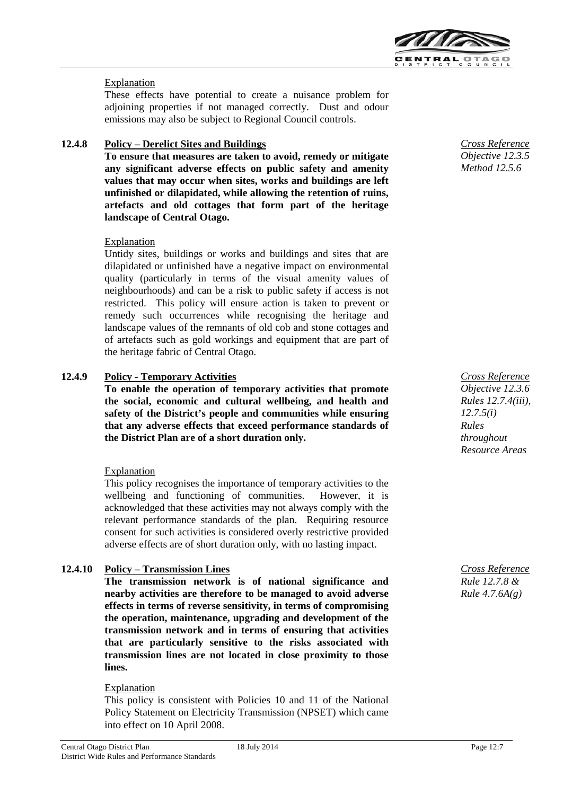

### Explanation

These effects have potential to create a nuisance problem for adjoining properties if not managed correctly. Dust and odour emissions may also be subject to Regional Council controls.

## **12.4.8 Policy – Derelict Sites and Buildings**

**To ensure that measures are taken to avoid, remedy or mitigate any significant adverse effects on public safety and amenity values that may occur when sites, works and buildings are left unfinished or dilapidated, while allowing the retention of ruins, artefacts and old cottages that form part of the heritage landscape of Central Otago.**

#### Explanation

Untidy sites, buildings or works and buildings and sites that are dilapidated or unfinished have a negative impact on environmental quality (particularly in terms of the visual amenity values of neighbourhoods) and can be a risk to public safety if access is not restricted. This policy will ensure action is taken to prevent or remedy such occurrences while recognising the heritage and landscape values of the remnants of old cob and stone cottages and of artefacts such as gold workings and equipment that are part of the heritage fabric of Central Otago.

#### **12.4.9 Policy - Temporary Activities**

**To enable the operation of temporary activities that promote the social, economic and cultural wellbeing, and health and safety of the District's people and communities while ensuring that any adverse effects that exceed performance standards of the District Plan are of a short duration only.**

#### Explanation

This policy recognises the importance of temporary activities to the wellbeing and functioning of communities. However, it is acknowledged that these activities may not always comply with the relevant performance standards of the plan. Requiring resource consent for such activities is considered overly restrictive provided adverse effects are of short duration only, with no lasting impact.

### **12.4.10 Policy – Transmission Lines**

**The transmission network is of national significance and nearby activities are therefore to be managed to avoid adverse effects in terms of reverse sensitivity, in terms of compromising the operation, maintenance, upgrading and development of the transmission network and in terms of ensuring that activities that are particularly sensitive to the risks associated with transmission lines are not located in close proximity to those lines.**

#### Explanation

This policy is consistent with Policies 10 and 11 of the National Policy Statement on Electricity Transmission (NPSET) which came into effect on 10 April 2008.

*Cross Reference Objective 12.3.5 Method 12.5.6*

*Cross Reference Objective 12.3.6 Rules 12.7.4(iii), 12.7.5(i) Rules throughout Resource Areas*

*Cross Reference Rule 12.7.8 & Rule 4.7.6A(g)*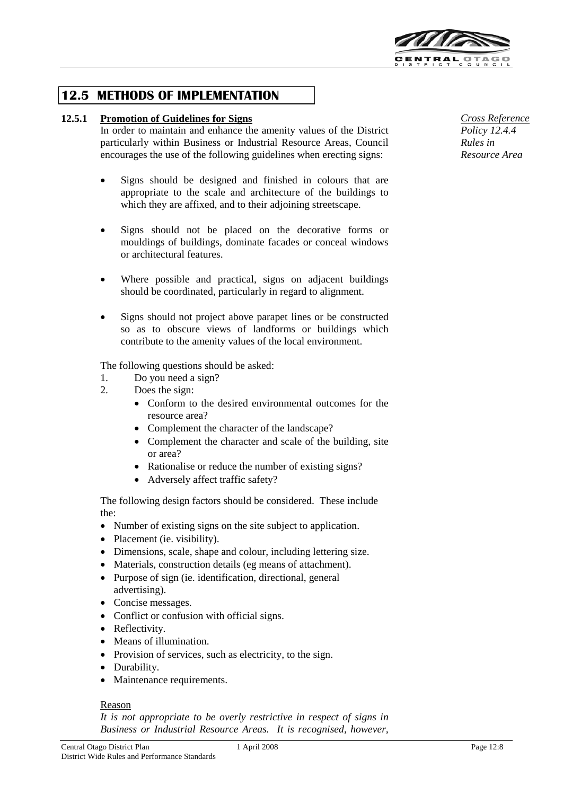

## **12.5 METHODS OF IMPLEMENTATION**

#### **12.5.1 Promotion of Guidelines for Signs**

In order to maintain and enhance the amenity values of the District particularly within Business or Industrial Resource Areas, Council encourages the use of the following guidelines when erecting signs:

- Signs should be designed and finished in colours that are appropriate to the scale and architecture of the buildings to which they are affixed, and to their adjoining streetscape.
- Signs should not be placed on the decorative forms or mouldings of buildings, dominate facades or conceal windows or architectural features.
- Where possible and practical, signs on adjacent buildings should be coordinated, particularly in regard to alignment.
- Signs should not project above parapet lines or be constructed so as to obscure views of landforms or buildings which contribute to the amenity values of the local environment.

The following questions should be asked:

- 1. Do you need a sign?
- 2. Does the sign:
	- Conform to the desired environmental outcomes for the resource area?
	- Complement the character of the landscape?
	- Complement the character and scale of the building, site or area?
	- Rationalise or reduce the number of existing signs?
	- Adversely affect traffic safety?

The following design factors should be considered. These include the:

- Number of existing signs on the site subject to application.
- Placement (ie. visibility).
- Dimensions, scale, shape and colour, including lettering size.
- Materials, construction details (eg means of attachment).
- Purpose of sign (ie. identification, directional, general advertising).
- Concise messages.
- Conflict or confusion with official signs.
- Reflectivity.
- Means of illumination.
- Provision of services, such as electricity, to the sign.
- Durability.
- Maintenance requirements.

#### Reason

*It is not appropriate to be overly restrictive in respect of signs in Business or Industrial Resource Areas. It is recognised, however,*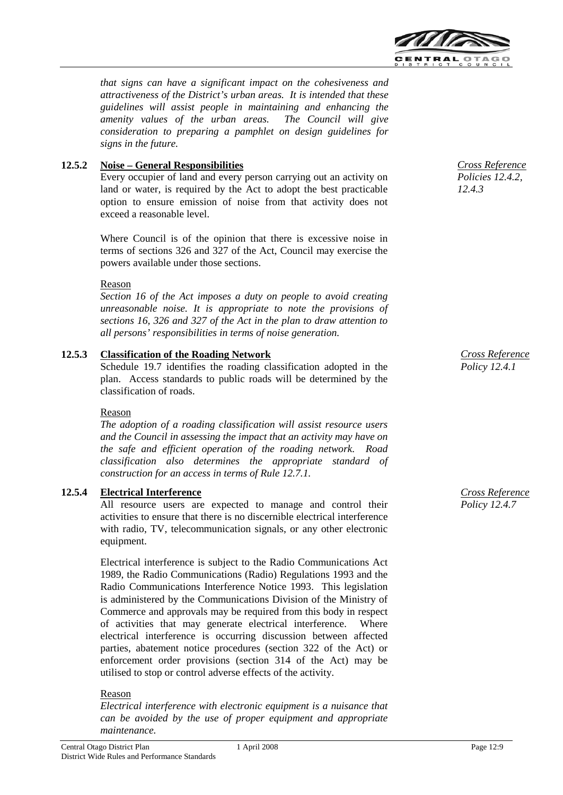

*that signs can have a significant impact on the cohesiveness and attractiveness of the District's urban areas. It is intended that these guidelines will assist people in maintaining and enhancing the amenity values of the urban areas. The Council will give consideration to preparing a pamphlet on design guidelines for signs in the future.*

### **12.5.2 Noise – General Responsibilities**

Every occupier of land and every person carrying out an activity on land or water, is required by the Act to adopt the best practicable option to ensure emission of noise from that activity does not exceed a reasonable level.

Where Council is of the opinion that there is excessive noise in terms of sections 326 and 327 of the Act, Council may exercise the powers available under those sections.

#### Reason

*Section 16 of the Act imposes a duty on people to avoid creating unreasonable noise. It is appropriate to note the provisions of sections 16, 326 and 327 of the Act in the plan to draw attention to all persons' responsibilities in terms of noise generation.*

#### **12.5.3 Classification of the Roading Network**

Schedule 19.7 identifies the roading classification adopted in the plan. Access standards to public roads will be determined by the classification of roads.

#### Reason

*The adoption of a roading classification will assist resource users and the Council in assessing the impact that an activity may have on the safe and efficient operation of the roading network. Road classification also determines the appropriate standard of construction for an access in terms of Rule 12.7.1.*

#### **12.5.4 Electrical Interference**

All resource users are expected to manage and control their activities to ensure that there is no discernible electrical interference with radio, TV, telecommunication signals, or any other electronic equipment.

Electrical interference is subject to the Radio Communications Act 1989, the Radio Communications (Radio) Regulations 1993 and the Radio Communications Interference Notice 1993. This legislation is administered by the Communications Division of the Ministry of Commerce and approvals may be required from this body in respect of activities that may generate electrical interference. Where electrical interference is occurring discussion between affected parties, abatement notice procedures (section 322 of the Act) or enforcement order provisions (section 314 of the Act) may be utilised to stop or control adverse effects of the activity.

#### Reason

*Electrical interference with electronic equipment is a nuisance that can be avoided by the use of proper equipment and appropriate maintenance.*



*Cross Reference Policy 12.4.1*

*Cross Reference Policy 12.4.7*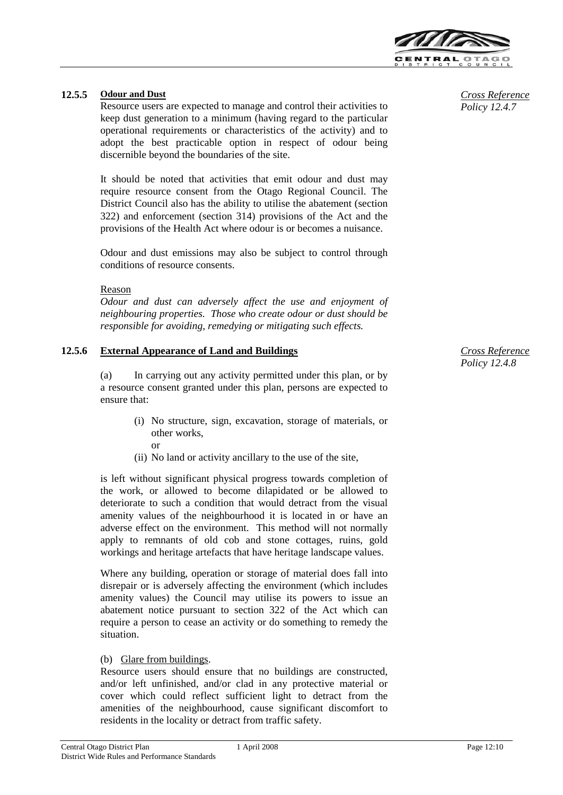

#### **12.5.5 Odour and Dust**

Resource users are expected to manage and control their activities to keep dust generation to a minimum (having regard to the particular operational requirements or characteristics of the activity) and to adopt the best practicable option in respect of odour being discernible beyond the boundaries of the site.

It should be noted that activities that emit odour and dust may require resource consent from the Otago Regional Council. The District Council also has the ability to utilise the abatement (section 322) and enforcement (section 314) provisions of the Act and the provisions of the Health Act where odour is or becomes a nuisance.

Odour and dust emissions may also be subject to control through conditions of resource consents.

#### Reason

*Odour and dust can adversely affect the use and enjoyment of neighbouring properties. Those who create odour or dust should be responsible for avoiding, remedying or mitigating such effects.*

## **12.5.6 External Appearance of Land and Buildings**

or

(a) In carrying out any activity permitted under this plan, or by a resource consent granted under this plan, persons are expected to ensure that:

- (i) No structure, sign, excavation, storage of materials, or other works,
- (ii) No land or activity ancillary to the use of the site,

is left without significant physical progress towards completion of the work, or allowed to become dilapidated or be allowed to deteriorate to such a condition that would detract from the visual amenity values of the neighbourhood it is located in or have an adverse effect on the environment. This method will not normally apply to remnants of old cob and stone cottages, ruins, gold workings and heritage artefacts that have heritage landscape values.

Where any building, operation or storage of material does fall into disrepair or is adversely affecting the environment (which includes amenity values) the Council may utilise its powers to issue an abatement notice pursuant to section 322 of the Act which can require a person to cease an activity or do something to remedy the situation.

#### (b) Glare from buildings.

Resource users should ensure that no buildings are constructed, and/or left unfinished, and/or clad in any protective material or cover which could reflect sufficient light to detract from the amenities of the neighbourhood, cause significant discomfort to residents in the locality or detract from traffic safety.

*Cross Reference Policy 12.4.7*

*Cross Reference Policy 12.4.8*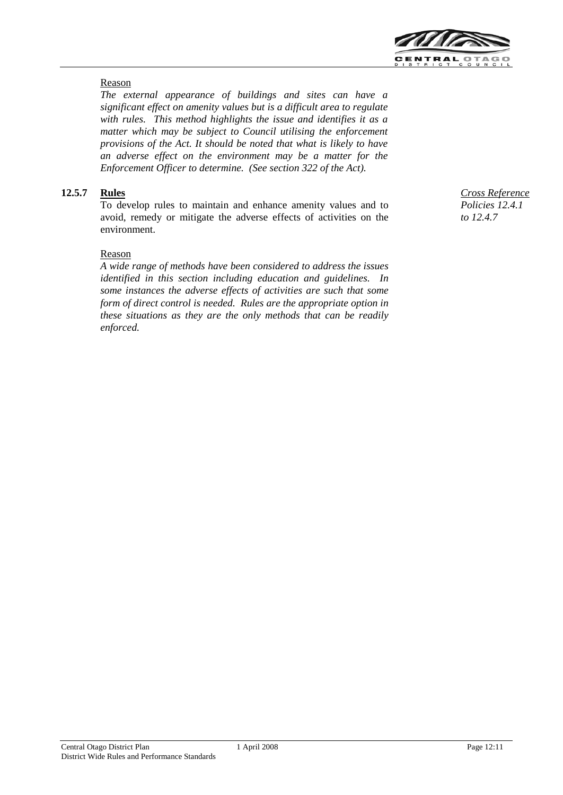

### Reason

*The external appearance of buildings and sites can have a significant effect on amenity values but is a difficult area to regulate with rules. This method highlights the issue and identifies it as a matter which may be subject to Council utilising the enforcement provisions of the Act. It should be noted that what is likely to have an adverse effect on the environment may be a matter for the Enforcement Officer to determine. (See section 322 of the Act).*

## **12.5.7 Rules**

To develop rules to maintain and enhance amenity values and to avoid, remedy or mitigate the adverse effects of activities on the environment.

#### Reason

*A wide range of methods have been considered to address the issues identified in this section including education and guidelines. In some instances the adverse effects of activities are such that some form of direct control is needed. Rules are the appropriate option in these situations as they are the only methods that can be readily enforced.*

*Cross Reference Policies 12.4.1 to 12.4.7*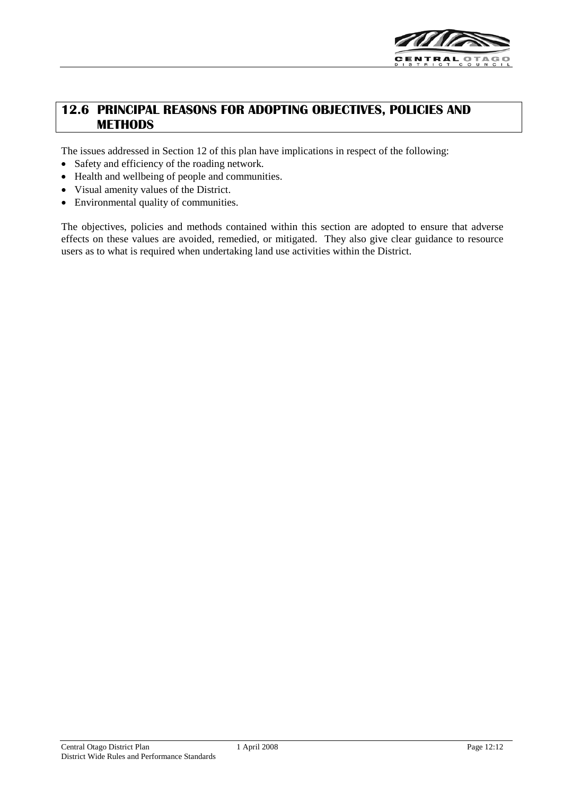

## **12.6 PRINCIPAL REASONS FOR ADOPTING OBJECTIVES, POLICIES AND METHODS**

The issues addressed in Section 12 of this plan have implications in respect of the following:

- Safety and efficiency of the roading network.
- Health and wellbeing of people and communities.
- Visual amenity values of the District.
- Environmental quality of communities.

The objectives, policies and methods contained within this section are adopted to ensure that adverse effects on these values are avoided, remedied, or mitigated. They also give clear guidance to resource users as to what is required when undertaking land use activities within the District.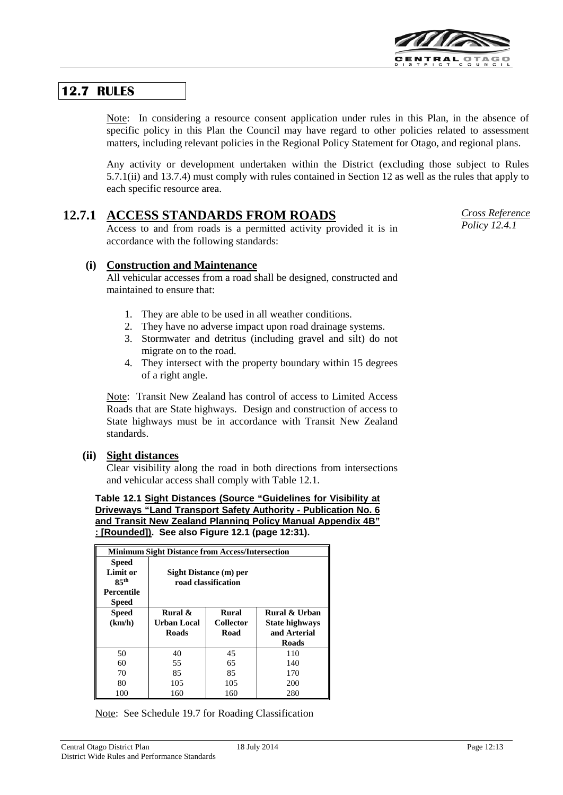

## **12.7 RULES**

Note: In considering a resource consent application under rules in this Plan, in the absence of specific policy in this Plan the Council may have regard to other policies related to assessment matters, including relevant policies in the Regional Policy Statement for Otago, and regional plans.

Any activity or development undertaken within the District (excluding those subject to Rules 5.7.1(ii) and 13.7.4) must comply with rules contained in Section 12 as well as the rules that apply to each specific resource area.

## **12.7.1 ACCESS STANDARDS FROM ROADS**

Access to and from roads is a permitted activity provided it is in accordance with the following standards:

*Cross Reference Policy 12.4.1*

### **(i) Construction and Maintenance**

All vehicular accesses from a road shall be designed, constructed and maintained to ensure that:

- 1. They are able to be used in all weather conditions.
- 2. They have no adverse impact upon road drainage systems.
- 3. Stormwater and detritus (including gravel and silt) do not migrate on to the road.
- 4. They intersect with the property boundary within 15 degrees of a right angle.

Note: Transit New Zealand has control of access to Limited Access Roads that are State highways. Design and construction of access to State highways must be in accordance with Transit New Zealand standards.

### **(ii) Sight distances**

Clear visibility along the road in both directions from intersections and vehicular access shall comply with Table 12.1.

**Table 12.1 Sight Distances (Source "Guidelines for Visibility at Driveways "Land Transport Safety Authority - Publication No. 6 and Transit New Zealand Planning Policy Manual Appendix 4B" : [Rounded]). See also Figure 12.1 (page 12:31).**

| <b>Minimum Sight Distance from Access/Intersection</b> |                    |                        |                       |  |  |  |
|--------------------------------------------------------|--------------------|------------------------|-----------------------|--|--|--|
| <b>Speed</b>                                           |                    |                        |                       |  |  |  |
| Limit or                                               |                    | Sight Distance (m) per |                       |  |  |  |
| 85 <sup>th</sup>                                       |                    | road classification    |                       |  |  |  |
| <b>Percentile</b>                                      |                    |                        |                       |  |  |  |
| <b>Speed</b>                                           |                    |                        |                       |  |  |  |
| <b>Speed</b>                                           | Rural &            | <b>Rural</b>           | Rural & Urban         |  |  |  |
| (km/h)                                                 | <b>Urban Local</b> | <b>Collector</b>       | <b>State highways</b> |  |  |  |
|                                                        | <b>Roads</b>       | Road                   | and Arterial          |  |  |  |
|                                                        |                    |                        | Roads                 |  |  |  |
| 50                                                     | 40                 | 45                     | 110                   |  |  |  |
| 60                                                     | 55                 | 65                     | 140                   |  |  |  |
| 70                                                     | 85                 | 85                     | 170                   |  |  |  |
| 80                                                     | 105                | 105                    | 200                   |  |  |  |
| 100                                                    | 160                | 160                    | 280                   |  |  |  |

Note: See Schedule 19.7 for Roading Classification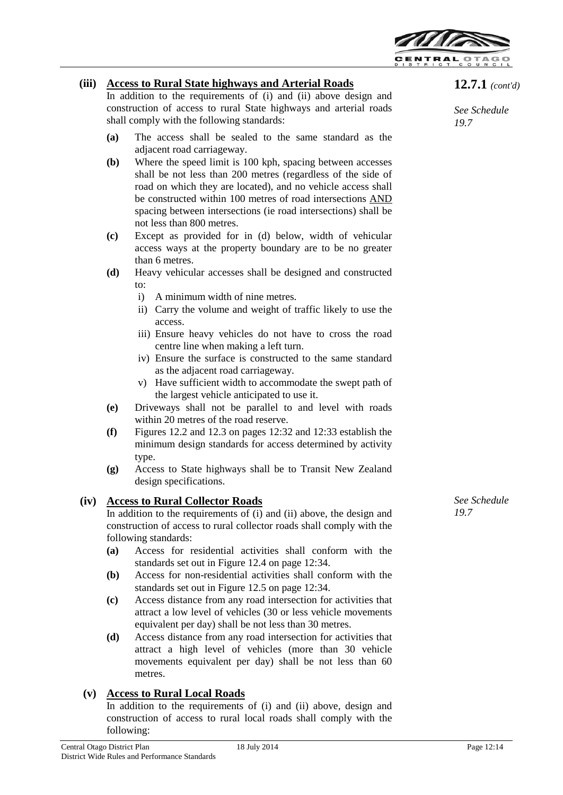

### **(iii) Access to Rural State highways and Arterial Roads**

In addition to the requirements of (i) and (ii) above design and construction of access to rural State highways and arterial roads shall comply with the following standards:

- **(a)** The access shall be sealed to the same standard as the adjacent road carriageway.
- **(b)** Where the speed limit is 100 kph, spacing between accesses shall be not less than 200 metres (regardless of the side of road on which they are located), and no vehicle access shall be constructed within 100 metres of road intersections AND spacing between intersections (ie road intersections) shall be not less than 800 metres.
- **(c)** Except as provided for in (d) below, width of vehicular access ways at the property boundary are to be no greater than 6 metres.
- **(d)** Heavy vehicular accesses shall be designed and constructed  $t^{\Omega}$ 
	- i) A minimum width of nine metres.
	- ii) Carry the volume and weight of traffic likely to use the access.
	- iii) Ensure heavy vehicles do not have to cross the road centre line when making a left turn.
	- iv) Ensure the surface is constructed to the same standard as the adjacent road carriageway.
	- v) Have sufficient width to accommodate the swept path of the largest vehicle anticipated to use it.
- **(e)** Driveways shall not be parallel to and level with roads within 20 metres of the road reserve.
- **(f)** Figures 12.2 and 12.3 on pages 12:32 and 12:33 establish the minimum design standards for access determined by activity type.
- **(g)** Access to State highways shall be to Transit New Zealand design specifications.

## **(iv) Access to Rural Collector Roads**

In addition to the requirements of (i) and (ii) above, the design and construction of access to rural collector roads shall comply with the following standards:

- **(a)** Access for residential activities shall conform with the standards set out in Figure 12.4 on page 12:34.
- **(b)** Access for non-residential activities shall conform with the standards set out in Figure 12.5 on page 12:34.
- **(c)** Access distance from any road intersection for activities that attract a low level of vehicles (30 or less vehicle movements equivalent per day) shall be not less than 30 metres.
- **(d)** Access distance from any road intersection for activities that attract a high level of vehicles (more than 30 vehicle movements equivalent per day) shall be not less than 60 metres.

## **(v) Access to Rural Local Roads**

In addition to the requirements of (i) and (ii) above, design and construction of access to rural local roads shall comply with the following:

*See Schedule 19.7*

*See Schedule 19.7*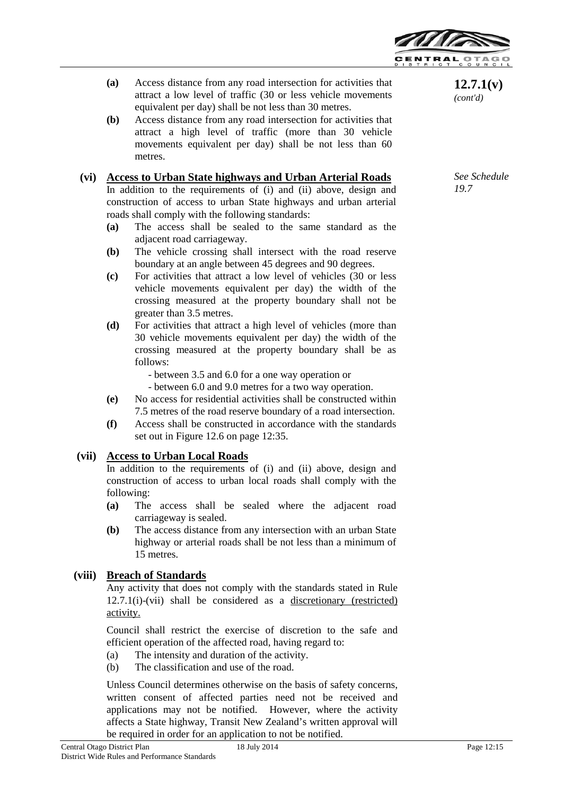

- **(a)** Access distance from any road intersection for activities that attract a low level of traffic (30 or less vehicle movements equivalent per day) shall be not less than 30 metres.
- **(b)** Access distance from any road intersection for activities that attract a high level of traffic (more than 30 vehicle movements equivalent per day) shall be not less than 60 metres.

#### **(vi) Access to Urban State highways and Urban Arterial Roads** In addition to the requirements of (i) and (ii) above, design and construction of access to urban State highways and urban arterial roads shall comply with the following standards:

- **(a)** The access shall be sealed to the same standard as the adjacent road carriageway.
- **(b)** The vehicle crossing shall intersect with the road reserve boundary at an angle between 45 degrees and 90 degrees.
- **(c)** For activities that attract a low level of vehicles (30 or less vehicle movements equivalent per day) the width of the crossing measured at the property boundary shall not be greater than 3.5 metres.
- **(d)** For activities that attract a high level of vehicles (more than 30 vehicle movements equivalent per day) the width of the crossing measured at the property boundary shall be as follows:

- between 3.5 and 6.0 for a one way operation or

- between 6.0 and 9.0 metres for a two way operation.
- **(e)** No access for residential activities shall be constructed within 7.5 metres of the road reserve boundary of a road intersection.
- **(f)** Access shall be constructed in accordance with the standards set out in Figure 12.6 on page 12:35.

### **(vii) Access to Urban Local Roads**

In addition to the requirements of (i) and (ii) above, design and construction of access to urban local roads shall comply with the following:

- **(a)** The access shall be sealed where the adjacent road carriageway is sealed.
- **(b)** The access distance from any intersection with an urban State highway or arterial roads shall be not less than a minimum of 15 metres.

## **(viii) Breach of Standards**

Any activity that does not comply with the standards stated in Rule 12.7.1(i)-(vii) shall be considered as a discretionary (restricted) activity.

Council shall restrict the exercise of discretion to the safe and efficient operation of the affected road, having regard to:

- (a) The intensity and duration of the activity.
- (b) The classification and use of the road.

Unless Council determines otherwise on the basis of safety concerns, written consent of affected parties need not be received and applications may not be notified. However, where the activity affects a State highway, Transit New Zealand's written approval will be required in order for an application to not be notified.

**12.7.1(v)** *(cont'd)*

*See Schedule 19.7*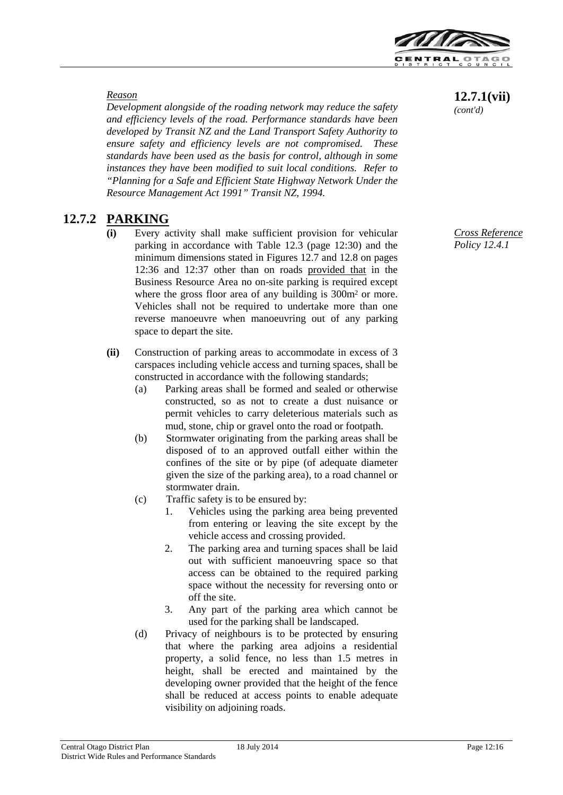

#### *Reason*

*Development alongside of the roading network may reduce the safety and efficiency levels of the road. Performance standards have been developed by Transit NZ and the Land Transport Safety Authority to ensure safety and efficiency levels are not compromised. These standards have been used as the basis for control, although in some instances they have been modified to suit local conditions. Refer to "Planning for a Safe and Efficient State Highway Network Under the Resource Management Act 1991" Transit NZ, 1994.*

## **12.7.2 PARKING**

- Every activity shall make sufficient provision for vehicular parking in accordance with Table 12.3 (page 12:30) and the minimum dimensions stated in Figures 12.7 and 12.8 on pages 12:36 and 12:37 other than on roads provided that in the Business Resource Area no on-site parking is required except where the gross floor area of any building is  $300m^2$  or more. Vehicles shall not be required to undertake more than one reverse manoeuvre when manoeuvring out of any parking space to depart the site.
- **(ii)** Construction of parking areas to accommodate in excess of 3 carspaces including vehicle access and turning spaces, shall be constructed in accordance with the following standards;
	- (a) Parking areas shall be formed and sealed or otherwise constructed, so as not to create a dust nuisance or permit vehicles to carry deleterious materials such as mud, stone, chip or gravel onto the road or footpath.
	- (b) Stormwater originating from the parking areas shall be disposed of to an approved outfall either within the confines of the site or by pipe (of adequate diameter given the size of the parking area), to a road channel or stormwater drain.
	- (c) Traffic safety is to be ensured by:
		- 1. Vehicles using the parking area being prevented from entering or leaving the site except by the vehicle access and crossing provided.
		- 2. The parking area and turning spaces shall be laid out with sufficient manoeuvring space so that access can be obtained to the required parking space without the necessity for reversing onto or off the site.
		- 3. Any part of the parking area which cannot be used for the parking shall be landscaped.
	- (d) Privacy of neighbours is to be protected by ensuring that where the parking area adjoins a residential property, a solid fence, no less than 1.5 metres in height, shall be erected and maintained by the developing owner provided that the height of the fence shall be reduced at access points to enable adequate visibility on adjoining roads.

## **12.7.1(vii)**

*(cont'd)*

*Cross Reference Policy 12.4.1*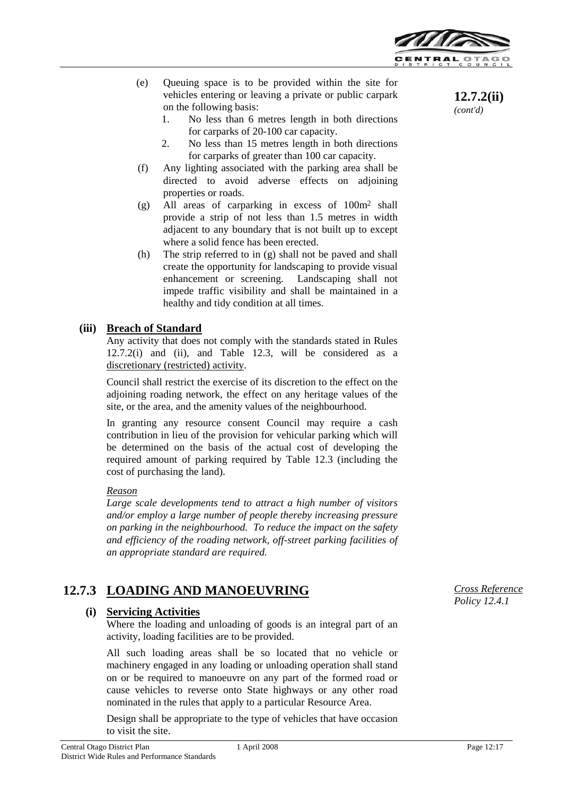

- (e) Queuing space is to be provided within the site for vehicles entering or leaving a private or public carpark on the following basis:
	- 1. No less than 6 metres length in both directions for carparks of 20-100 car capacity.
	- 2. No less than 15 metres length in both directions for carparks of greater than 100 car capacity.
- (f) Any lighting associated with the parking area shall be directed to avoid adverse effects on adjoining properties or roads.
- (g) All areas of carparking in excess of 100m2 shall provide a strip of not less than 1.5 metres in width adjacent to any boundary that is not built up to except where a solid fence has been erected.
- (h) The strip referred to in (g) shall not be paved and shall create the opportunity for landscaping to provide visual enhancement or screening. Landscaping shall not impede traffic visibility and shall be maintained in a healthy and tidy condition at all times.

#### **(iii) Breach of Standard**

Any activity that does not comply with the standards stated in Rules 12.7.2(i) and (ii), and Table 12.3, will be considered as a discretionary (restricted) activity.

Council shall restrict the exercise of its discretion to the effect on the adjoining roading network, the effect on any heritage values of the site, or the area, and the amenity values of the neighbourhood.

In granting any resource consent Council may require a cash contribution in lieu of the provision for vehicular parking which will be determined on the basis of the actual cost of developing the required amount of parking required by Table 12.3 (including the cost of purchasing the land).

#### *Reason*

*Large scale developments tend to attract a high number of visitors and/or employ a large number of people thereby increasing pressure on parking in the neighbourhood. To reduce the impact on the safety and efficiency of the roading network, off-street parking facilities of an appropriate standard are required.*

## **12.7.3 LOADING AND MANOEUVRING**

### **(i) Servicing Activities**

Where the loading and unloading of goods is an integral part of an activity, loading facilities are to be provided.

All such loading areas shall be so located that no vehicle or machinery engaged in any loading or unloading operation shall stand on or be required to manoeuvre on any part of the formed road or cause vehicles to reverse onto State highways or any other road nominated in the rules that apply to a particular Resource Area.

Design shall be appropriate to the type of vehicles that have occasion to visit the site.

**12.7.2(ii)** *(cont'd)*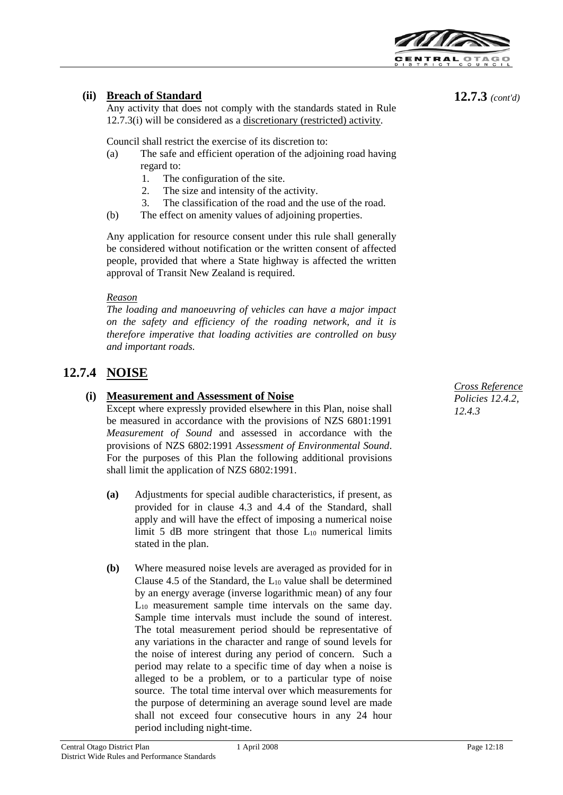

## **(ii) Breach of Standard**

Any activity that does not comply with the standards stated in Rule 12.7.3(i) will be considered as a discretionary (restricted) activity.

Council shall restrict the exercise of its discretion to:

- (a) The safe and efficient operation of the adjoining road having regard to:
	- 1. The configuration of the site.
	- 2. The size and intensity of the activity.
	- 3. The classification of the road and the use of the road.
- (b) The effect on amenity values of adjoining properties.

Any application for resource consent under this rule shall generally be considered without notification or the written consent of affected people, provided that where a State highway is affected the written approval of Transit New Zealand is required.

#### *Reason*

*The loading and manoeuvring of vehicles can have a major impact on the safety and efficiency of the roading network, and it is therefore imperative that loading activities are controlled on busy and important roads.*

## **12.7.4 NOISE**

## **(i) Measurement and Assessment of Noise**

Except where expressly provided elsewhere in this Plan, noise shall be measured in accordance with the provisions of NZS 6801:1991 *Measurement of Sound* and assessed in accordance with the provisions of NZS 6802:1991 *Assessment of Environmental Sound*. For the purposes of this Plan the following additional provisions shall limit the application of NZS 6802:1991.

- **(a)** Adjustments for special audible characteristics, if present, as provided for in clause 4.3 and 4.4 of the Standard, shall apply and will have the effect of imposing a numerical noise limit 5 dB more stringent that those  $L_{10}$  numerical limits stated in the plan.
- **(b)** Where measured noise levels are averaged as provided for in Clause 4.5 of the Standard, the  $L_{10}$  value shall be determined by an energy average (inverse logarithmic mean) of any four  $L_{10}$  measurement sample time intervals on the same day. Sample time intervals must include the sound of interest. The total measurement period should be representative of any variations in the character and range of sound levels for the noise of interest during any period of concern. Such a period may relate to a specific time of day when a noise is alleged to be a problem, or to a particular type of noise source. The total time interval over which measurements for the purpose of determining an average sound level are made shall not exceed four consecutive hours in any 24 hour period including night-time.

*Cross Reference Policies 12.4.2, 12.4.3*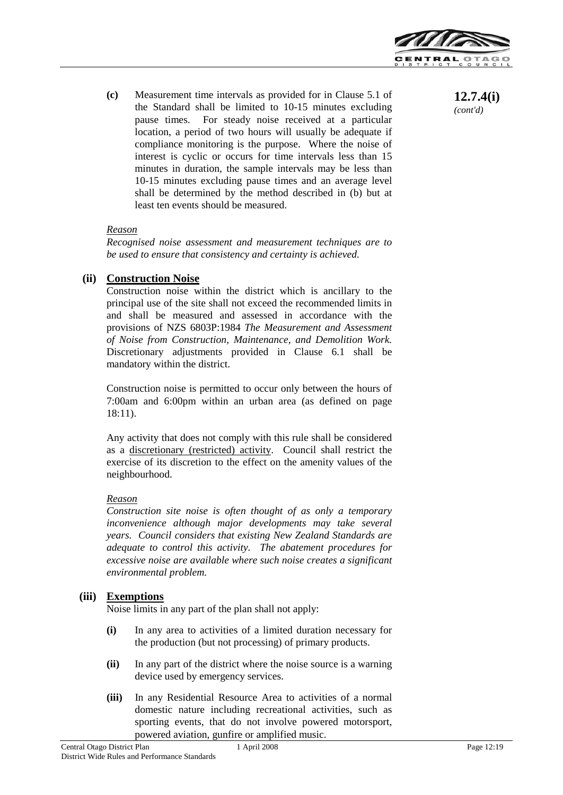

**(c)** Measurement time intervals as provided for in Clause 5.1 of the Standard shall be limited to 10-15 minutes excluding pause times. For steady noise received at a particular location, a period of two hours will usually be adequate if compliance monitoring is the purpose. Where the noise of interest is cyclic or occurs for time intervals less than 15 minutes in duration, the sample intervals may be less than 10-15 minutes excluding pause times and an average level shall be determined by the method described in (b) but at least ten events should be measured.

#### *Reason*

*Recognised noise assessment and measurement techniques are to be used to ensure that consistency and certainty is achieved.*

### **(ii) Construction Noise**

Construction noise within the district which is ancillary to the principal use of the site shall not exceed the recommended limits in and shall be measured and assessed in accordance with the provisions of NZS 6803P:1984 *The Measurement and Assessment of Noise from Construction, Maintenance, and Demolition Work.* Discretionary adjustments provided in Clause 6.1 shall be mandatory within the district.

Construction noise is permitted to occur only between the hours of 7:00am and 6:00pm within an urban area (as defined on page 18:11).

Any activity that does not comply with this rule shall be considered as a discretionary (restricted) activity. Council shall restrict the exercise of its discretion to the effect on the amenity values of the neighbourhood.

### *Reason*

*Construction site noise is often thought of as only a temporary inconvenience although major developments may take several years. Council considers that existing New Zealand Standards are adequate to control this activity. The abatement procedures for excessive noise are available where such noise creates a significant environmental problem.*

### **(iii) Exemptions**

Noise limits in any part of the plan shall not apply:

- **(i)** In any area to activities of a limited duration necessary for the production (but not processing) of primary products.
- **(ii)** In any part of the district where the noise source is a warning device used by emergency services.
- **(iii)** In any Residential Resource Area to activities of a normal domestic nature including recreational activities, such as sporting events, that do not involve powered motorsport, powered aviation, gunfire or amplified music.

*(cont'd)*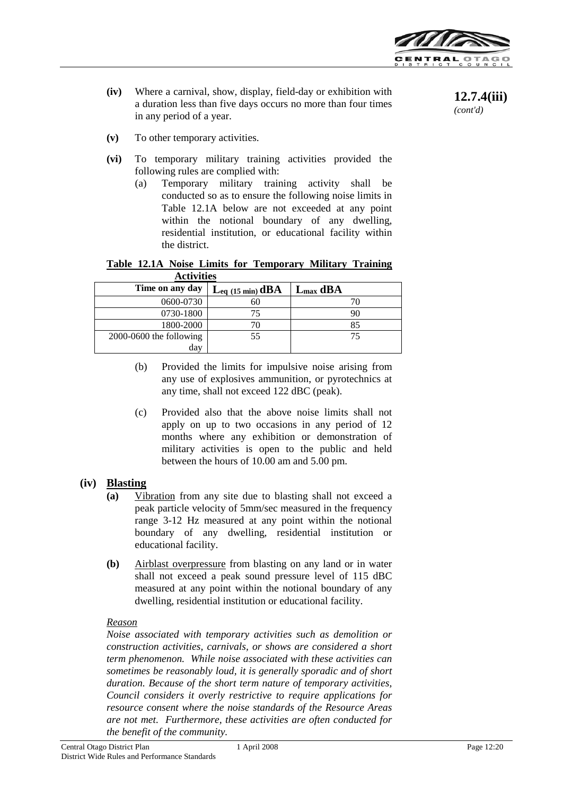

**12.7.4(iii)** *(cont'd)*

**(iv)** Where a carnival, show, display, field-day or exhibition with a duration less than five days occurs no more than four times in any period of a year.

**(v)** To other temporary activities.

- **(vi)** To temporary military training activities provided the following rules are complied with:
	- (a) Temporary military training activity shall be conducted so as to ensure the following noise limits in Table 12.1A below are not exceeded at any point within the notional boundary of any dwelling, residential institution, or educational facility within the district.

|                   |  |  |  |  | Table 12.1A Noise Limits for Temporary Military Training |  |
|-------------------|--|--|--|--|----------------------------------------------------------|--|
| <b>Activities</b> |  |  |  |  |                                                          |  |

| Time on any day           | $\mathbf{L}_{eq}$ (15 min) $\mathbf{dBA}$ | $L_{\text{max}}$ dBA |
|---------------------------|-------------------------------------------|----------------------|
| 0600-0730                 | 60                                        |                      |
| 0730-1800                 | 75                                        |                      |
| 1800-2000                 |                                           |                      |
| $2000-0600$ the following | 55                                        | 75                   |
| day                       |                                           |                      |

- (b) Provided the limits for impulsive noise arising from any use of explosives ammunition, or pyrotechnics at any time, shall not exceed 122 dBC (peak).
- (c) Provided also that the above noise limits shall not apply on up to two occasions in any period of 12 months where any exhibition or demonstration of military activities is open to the public and held between the hours of 10.00 am and 5.00 pm.

### **(iv) Blasting**

- **(a)** Vibration from any site due to blasting shall not exceed a peak particle velocity of 5mm/sec measured in the frequency range 3-12 Hz measured at any point within the notional boundary of any dwelling, residential institution or educational facility.
- **(b)** Airblast overpressure from blasting on any land or in water shall not exceed a peak sound pressure level of 115 dBC measured at any point within the notional boundary of any dwelling, residential institution or educational facility.

#### *Reason*

*Noise associated with temporary activities such as demolition or construction activities, carnivals, or shows are considered a short term phenomenon. While noise associated with these activities can sometimes be reasonably loud, it is generally sporadic and of short duration. Because of the short term nature of temporary activities, Council considers it overly restrictive to require applications for resource consent where the noise standards of the Resource Areas are not met. Furthermore, these activities are often conducted for the benefit of the community.*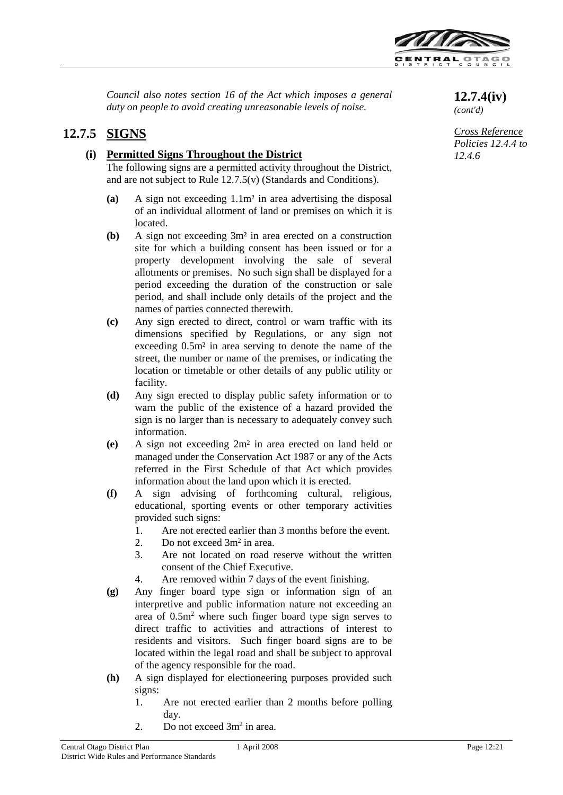

*Council also notes section 16 of the Act which imposes a general Council also notes section 16 of the Act which imposes a general* **12.7.4(iv)**<br>duty on people to avoid creating unreasonable levels of noise.  $(contd)$ 

## **12.7.5 SIGNS**

## **(i) Permitted Signs Throughout the District**

The following signs are a permitted activity throughout the District, and are not subject to Rule 12.7.5(v) (Standards and Conditions).

- **(a)** A sign not exceeding 1.1m² in area advertising the disposal of an individual allotment of land or premises on which it is located.
- **(b)** A sign not exceeding 3m² in area erected on a construction site for which a building consent has been issued or for a property development involving the sale of several allotments or premises. No such sign shall be displayed for a period exceeding the duration of the construction or sale period, and shall include only details of the project and the names of parties connected therewith.
- **(c)** Any sign erected to direct, control or warn traffic with its dimensions specified by Regulations, or any sign not exceeding 0.5m² in area serving to denote the name of the street, the number or name of the premises, or indicating the location or timetable or other details of any public utility or facility.
- **(d)** Any sign erected to display public safety information or to warn the public of the existence of a hazard provided the sign is no larger than is necessary to adequately convey such information.
- **(e)** A sign not exceeding 2m2 in area erected on land held or managed under the Conservation Act 1987 or any of the Acts referred in the First Schedule of that Act which provides information about the land upon which it is erected.
- **(f)** A sign advising of forthcoming cultural, religious, educational, sporting events or other temporary activities provided such signs:
	- 1. Are not erected earlier than 3 months before the event.
	- 2. Do not exceed 3m2 in area.
	- 3. Are not located on road reserve without the written consent of the Chief Executive.
	- 4. Are removed within 7 days of the event finishing.
- **(g)** Any finger board type sign or information sign of an interpretive and public information nature not exceeding an area of  $0.5m<sup>2</sup>$  where such finger board type sign serves to direct traffic to activities and attractions of interest to residents and visitors. Such finger board signs are to be located within the legal road and shall be subject to approval of the agency responsible for the road.
- **(h)** A sign displayed for electioneering purposes provided such signs:
	- 1. Are not erected earlier than 2 months before polling day.
	- 2. Do not exceed  $3m^2$  in area.

*(cont'd)*

*Cross Reference Policies 12.4.4 to 12.4.6*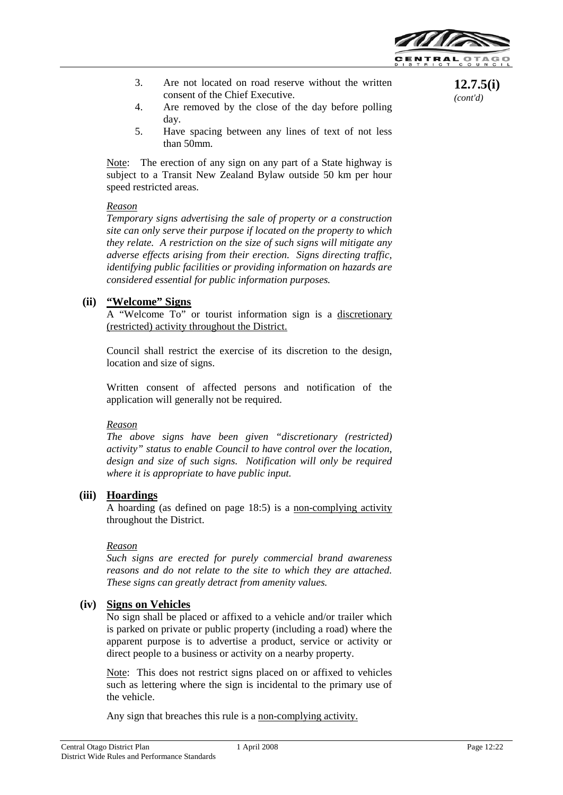

**12.7.5(i)** *(cont'd)*

- 3. Are not located on road reserve without the written consent of the Chief Executive.
- 4. Are removed by the close of the day before polling day.
- 5. Have spacing between any lines of text of not less than 50mm.

Note: The erection of any sign on any part of a State highway is subject to a Transit New Zealand Bylaw outside 50 km per hour speed restricted areas.

#### *Reason*

*Temporary signs advertising the sale of property or a construction site can only serve their purpose if located on the property to which they relate. A restriction on the size of such signs will mitigate any adverse effects arising from their erection. Signs directing traffic, identifying public facilities or providing information on hazards are considered essential for public information purposes.*

### **(ii) "Welcome" Signs**

A "Welcome To" or tourist information sign is a discretionary (restricted) activity throughout the District.

Council shall restrict the exercise of its discretion to the design, location and size of signs.

Written consent of affected persons and notification of the application will generally not be required.

### *Reason*

*The above signs have been given "discretionary (restricted) activity" status to enable Council to have control over the location, design and size of such signs. Notification will only be required where it is appropriate to have public input.*

### **(iii) Hoardings**

A hoarding (as defined on page 18:5) is a non-complying activity throughout the District.

#### *Reason*

*Such signs are erected for purely commercial brand awareness reasons and do not relate to the site to which they are attached. These signs can greatly detract from amenity values.*

### **(iv) Signs on Vehicles**

No sign shall be placed or affixed to a vehicle and/or trailer which is parked on private or public property (including a road) where the apparent purpose is to advertise a product, service or activity or direct people to a business or activity on a nearby property.

Note: This does not restrict signs placed on or affixed to vehicles such as lettering where the sign is incidental to the primary use of the vehicle.

Any sign that breaches this rule is a non-complying activity.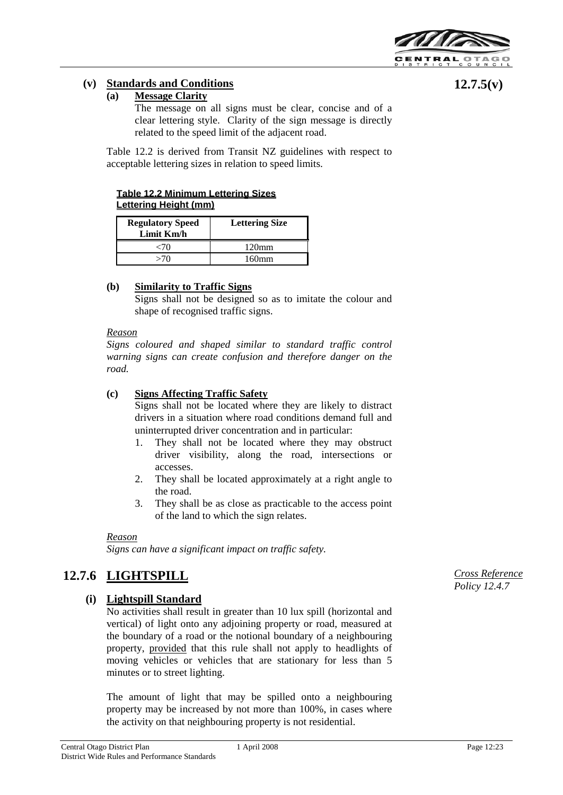

**12.7.5(v)**

## **(v) Standards and Conditions**

#### **(a) Message Clarity**

The message on all signs must be clear, concise and of a clear lettering style. Clarity of the sign message is directly related to the speed limit of the adjacent road.

Table 12.2 is derived from Transit NZ guidelines with respect to acceptable lettering sizes in relation to speed limits.

#### **Table 12.2 Minimum Lettering Sizes Lettering Height (mm)**

| <b>Regulatory Speed</b><br>Limit Km/h | <b>Lettering Size</b> |  |  |
|---------------------------------------|-----------------------|--|--|
|                                       | 120mm                 |  |  |
|                                       | 160mm                 |  |  |

## **(b) Similarity to Traffic Signs**

Signs shall not be designed so as to imitate the colour and shape of recognised traffic signs.

#### *Reason*

*Signs coloured and shaped similar to standard traffic control warning signs can create confusion and therefore danger on the road.*

#### **(c) Signs Affecting Traffic Safety**

Signs shall not be located where they are likely to distract drivers in a situation where road conditions demand full and uninterrupted driver concentration and in particular:

- 1. They shall not be located where they may obstruct driver visibility, along the road, intersections or accesses.
- 2. They shall be located approximately at a right angle to the road.
- 3. They shall be as close as practicable to the access point of the land to which the sign relates.

#### *Reason*

*Signs can have a significant impact on traffic safety.* 

## **12.7.6 LIGHTSPILL**

## **(i) Lightspill Standard**

No activities shall result in greater than 10 lux spill (horizontal and vertical) of light onto any adjoining property or road, measured at the boundary of a road or the notional boundary of a neighbouring property, provided that this rule shall not apply to headlights of moving vehicles or vehicles that are stationary for less than 5 minutes or to street lighting.

The amount of light that may be spilled onto a neighbouring property may be increased by not more than 100%, in cases where the activity on that neighbouring property is not residential.

*Cross Reference Policy 12.4.7*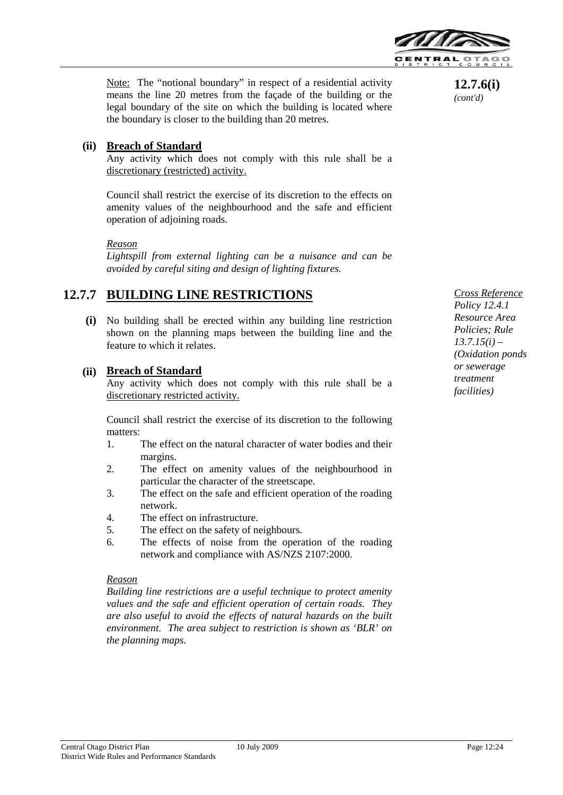

Note: The "notional boundary" in respect of a residential activity means the line 20 metres from the façade of the building or the legal boundary of the site on which the building is located where the boundary is closer to the building than 20 metres.

## **(ii) Breach of Standard**

Any activity which does not comply with this rule shall be a discretionary (restricted) activity.

Council shall restrict the exercise of its discretion to the effects on amenity values of the neighbourhood and the safe and efficient operation of adjoining roads.

#### *Reason*

*Lightspill from external lighting can be a nuisance and can be avoided by careful siting and design of lighting fixtures.*

## **12.7.7 BUILDING LINE RESTRICTIONS**

**(i)** No building shall be erected within any building line restriction shown on the planning maps between the building line and the feature to which it relates.

## **(ii) Breach of Standard**

Any activity which does not comply with this rule shall be a discretionary restricted activity.

Council shall restrict the exercise of its discretion to the following matters:

- 1. The effect on the natural character of water bodies and their margins.
- 2. The effect on amenity values of the neighbourhood in particular the character of the streetscape.
- 3. The effect on the safe and efficient operation of the roading network.
- 4. The effect on infrastructure.
- 5. The effect on the safety of neighbours.
- 6. The effects of noise from the operation of the roading network and compliance with AS/NZS 2107:2000.

#### *Reason*

*Building line restrictions are a useful technique to protect amenity values and the safe and efficient operation of certain roads. They are also useful to avoid the effects of natural hazards on the built environment. The area subject to restriction is shown as 'BLR' on the planning maps.*

**12.7.6(i)** *(cont'd)*

*Cross Reference Policy 12.4.1 Resource Area Policies; Rule 13.7.15(i) – (Oxidation ponds or sewerage treatment facilities)*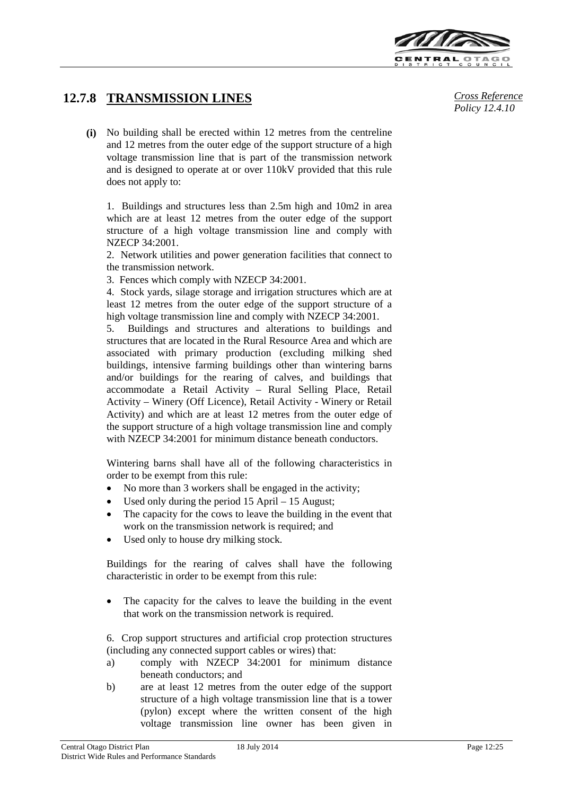

## **12.7.8 TRANSMISSION LINES** *Cross Reference*

**(i)** No building shall be erected within 12 metres from the centreline and 12 metres from the outer edge of the support structure of a high voltage transmission line that is part of the transmission network and is designed to operate at or over 110kV provided that this rule does not apply to:

1. Buildings and structures less than 2.5m high and 10m2 in area which are at least 12 metres from the outer edge of the support structure of a high voltage transmission line and comply with NZECP 34:2001.

2. Network utilities and power generation facilities that connect to the transmission network.

3. Fences which comply with NZECP 34:2001.

4. Stock yards, silage storage and irrigation structures which are at least 12 metres from the outer edge of the support structure of a high voltage transmission line and comply with NZECP 34:2001.

5. Buildings and structures and alterations to buildings and structures that are located in the Rural Resource Area and which are associated with primary production (excluding milking shed buildings, intensive farming buildings other than wintering barns and/or buildings for the rearing of calves, and buildings that accommodate a Retail Activity – Rural Selling Place, Retail Activity – Winery (Off Licence), Retail Activity - Winery or Retail Activity) and which are at least 12 metres from the outer edge of the support structure of a high voltage transmission line and comply with NZECP 34:2001 for minimum distance beneath conductors.

Wintering barns shall have all of the following characteristics in order to be exempt from this rule:

- No more than 3 workers shall be engaged in the activity;
- Used only during the period  $15$  April  $-15$  August;
- The capacity for the cows to leave the building in the event that work on the transmission network is required; and
- Used only to house dry milking stock.

Buildings for the rearing of calves shall have the following characteristic in order to be exempt from this rule:

The capacity for the calves to leave the building in the event that work on the transmission network is required.

6. Crop support structures and artificial crop protection structures (including any connected support cables or wires) that:

- a) comply with NZECP 34:2001 for minimum distance beneath conductors; and
- b) are at least 12 metres from the outer edge of the support structure of a high voltage transmission line that is a tower (pylon) except where the written consent of the high voltage transmission line owner has been given in

*Policy 12.4.10*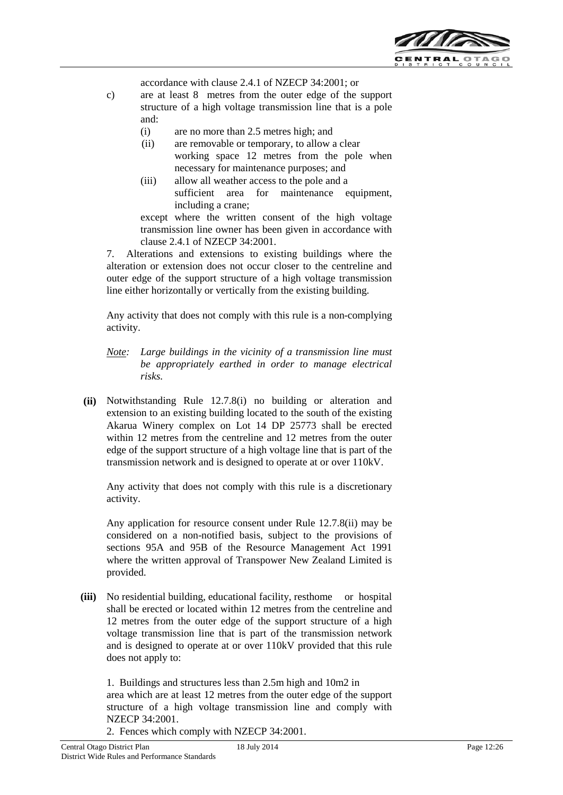

accordance with clause 2.4.1 of NZECP 34:2001; or

- c) are at least 8 metres from the outer edge of the support structure of a high voltage transmission line that is a pole and:
	- (i) are no more than 2.5 metres high; and
	- (ii) are removable or temporary, to allow a clear working space 12 metres from the pole when necessary for maintenance purposes; and
	- (iii) allow all weather access to the pole and a sufficient area for maintenance equipment, including a crane;

except where the written consent of the high voltage transmission line owner has been given in accordance with clause 2.4.1 of NZECP 34:2001.

7. Alterations and extensions to existing buildings where the alteration or extension does not occur closer to the centreline and outer edge of the support structure of a high voltage transmission line either horizontally or vertically from the existing building.

Any activity that does not comply with this rule is a non-complying activity.

- *Note: Large buildings in the vicinity of a transmission line must be appropriately earthed in order to manage electrical risks.*
- **(ii)** Notwithstanding Rule 12.7.8(i) no building or alteration and extension to an existing building located to the south of the existing Akarua Winery complex on Lot 14 DP 25773 shall be erected within 12 metres from the centreline and 12 metres from the outer edge of the support structure of a high voltage line that is part of the transmission network and is designed to operate at or over 110kV.

Any activity that does not comply with this rule is a discretionary activity.

Any application for resource consent under Rule 12.7.8(ii) may be considered on a non-notified basis, subject to the provisions of sections 95A and 95B of the Resource Management Act 1991 where the written approval of Transpower New Zealand Limited is provided.

**(iii)** No residential building, educational facility, resthome or hospital shall be erected or located within 12 metres from the centreline and 12 metres from the outer edge of the support structure of a high voltage transmission line that is part of the transmission network and is designed to operate at or over 110kV provided that this rule does not apply to:

1. Buildings and structures less than 2.5m high and 10m2 in area which are at least 12 metres from the outer edge of the support structure of a high voltage transmission line and comply with NZECP 34:2001.

2. Fences which comply with NZECP 34:2001.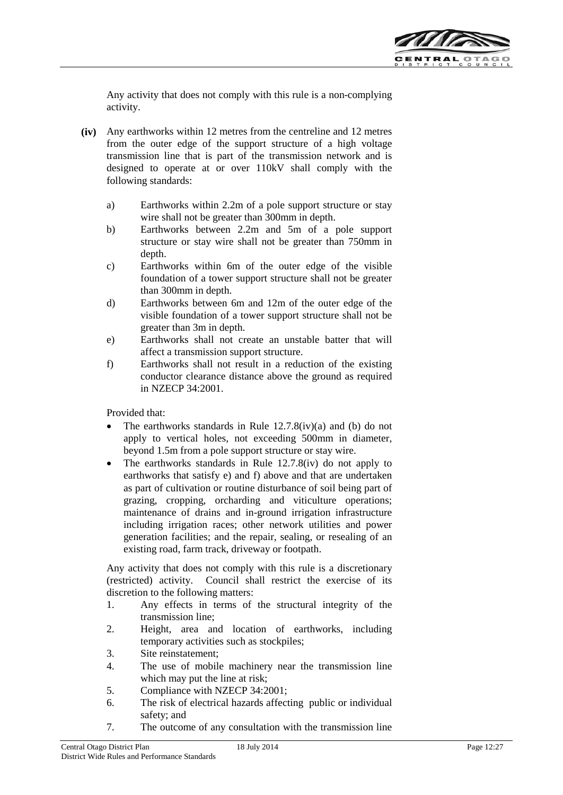

Any activity that does not comply with this rule is a non-complying activity.

- **(iv)** Any earthworks within 12 metres from the centreline and 12 metres from the outer edge of the support structure of a high voltage transmission line that is part of the transmission network and is designed to operate at or over 110kV shall comply with the following standards:
	- a) Earthworks within 2.2m of a pole support structure or stay wire shall not be greater than 300mm in depth.
	- b) Earthworks between 2.2m and 5m of a pole support structure or stay wire shall not be greater than 750mm in depth.
	- c) Earthworks within 6m of the outer edge of the visible foundation of a tower support structure shall not be greater than 300mm in depth.
	- d) Earthworks between 6m and 12m of the outer edge of the visible foundation of a tower support structure shall not be greater than 3m in depth.
	- e) Earthworks shall not create an unstable batter that will affect a transmission support structure.
	- f) Earthworks shall not result in a reduction of the existing conductor clearance distance above the ground as required in NZECP 34:2001.

Provided that:

- The earthworks standards in Rule  $12.7.8(iv)(a)$  and (b) do not apply to vertical holes, not exceeding 500mm in diameter, beyond 1.5m from a pole support structure or stay wire.
- The earthworks standards in Rule 12.7.8(iv) do not apply to earthworks that satisfy e) and f) above and that are undertaken as part of cultivation or routine disturbance of soil being part of grazing, cropping, orcharding and viticulture operations; maintenance of drains and in-ground irrigation infrastructure including irrigation races; other network utilities and power generation facilities; and the repair, sealing, or resealing of an existing road, farm track, driveway or footpath.

Any activity that does not comply with this rule is a discretionary (restricted) activity. Council shall restrict the exercise of its discretion to the following matters:

- 1. Any effects in terms of the structural integrity of the transmission line;
- 2. Height, area and location of earthworks, including temporary activities such as stockpiles;
- 3. Site reinstatement;
- 4. The use of mobile machinery near the transmission line which may put the line at risk;
- 5. Compliance with NZECP 34:2001;
- 6. The risk of electrical hazards affecting public or individual safety; and
- 7. The outcome of any consultation with the transmission line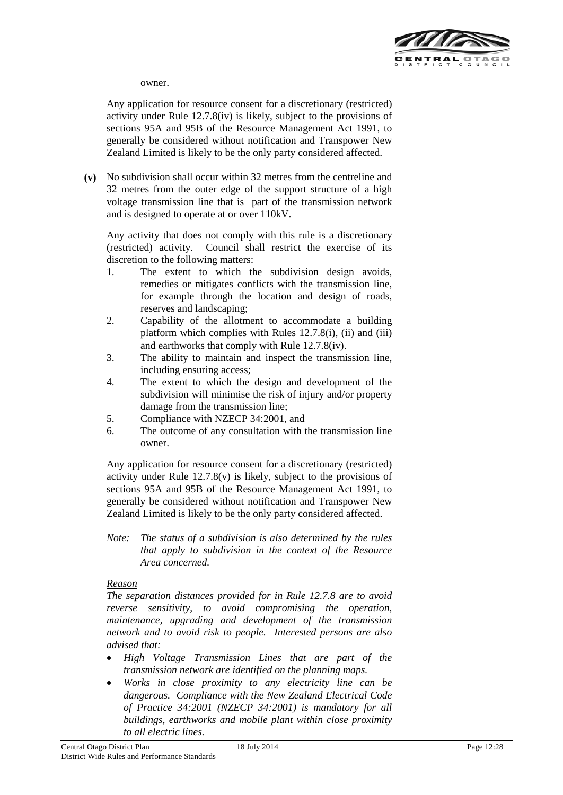

owner.

Any application for resource consent for a discretionary (restricted) activity under Rule 12.7.8(iv) is likely, subject to the provisions of sections 95A and 95B of the Resource Management Act 1991, to generally be considered without notification and Transpower New Zealand Limited is likely to be the only party considered affected.

**(v)** No subdivision shall occur within 32 metres from the centreline and 32 metres from the outer edge of the support structure of a high voltage transmission line that is part of the transmission network and is designed to operate at or over 110kV.

Any activity that does not comply with this rule is a discretionary (restricted) activity. Council shall restrict the exercise of its discretion to the following matters:

- 1. The extent to which the subdivision design avoids, remedies or mitigates conflicts with the transmission line, for example through the location and design of roads, reserves and landscaping;
- 2. Capability of the allotment to accommodate a building platform which complies with Rules 12.7.8(i), (ii) and (iii) and earthworks that comply with Rule 12.7.8(iv).
- 3. The ability to maintain and inspect the transmission line, including ensuring access;
- 4. The extent to which the design and development of the subdivision will minimise the risk of injury and/or property damage from the transmission line;
- 5. Compliance with NZECP 34:2001, and
- 6. The outcome of any consultation with the transmission line owner.

Any application for resource consent for a discretionary (restricted) activity under Rule  $12.7.8(v)$  is likely, subject to the provisions of sections 95A and 95B of the Resource Management Act 1991, to generally be considered without notification and Transpower New Zealand Limited is likely to be the only party considered affected.

*Note: The status of a subdivision is also determined by the rules that apply to subdivision in the context of the Resource Area concerned.*

## *Reason*

*The separation distances provided for in Rule 12.7.8 are to avoid reverse sensitivity, to avoid compromising the operation, maintenance, upgrading and development of the transmission network and to avoid risk to people. Interested persons are also advised that:*

- *High Voltage Transmission Lines that are part of the transmission network are identified on the planning maps.*
- *Works in close proximity to any electricity line can be dangerous. Compliance with the New Zealand Electrical Code of Practice 34:2001 (NZECP 34:2001) is mandatory for all buildings, earthworks and mobile plant within close proximity to all electric lines.*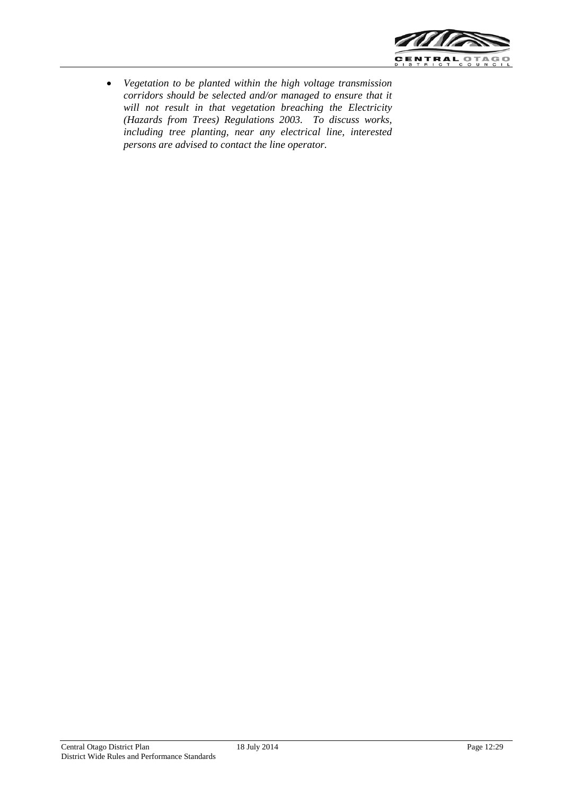

• *Vegetation to be planted within the high voltage transmission corridors should be selected and/or managed to ensure that it will not result in that vegetation breaching the Electricity (Hazards from Trees) Regulations 2003. To discuss works, including tree planting, near any electrical line, interested persons are advised to contact the line operator.*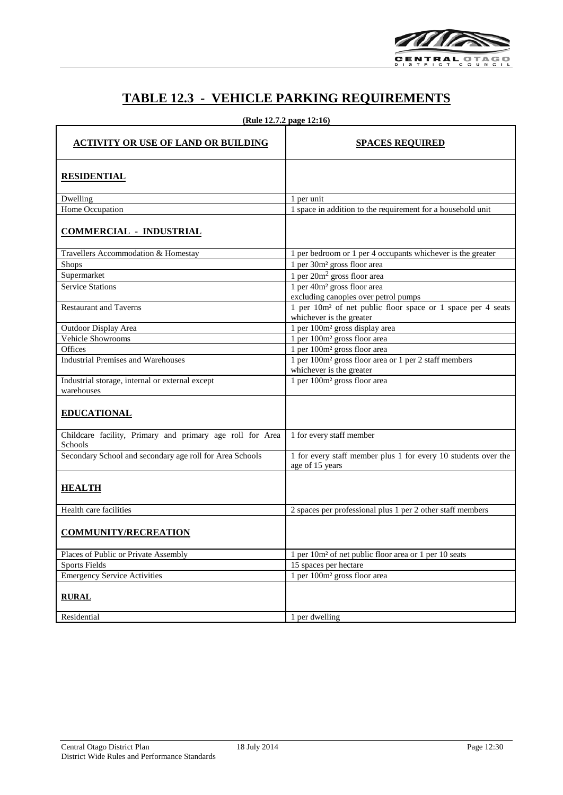

## **TABLE 12.3 - VEHICLE PARKING REQUIREMENTS**

|  | (Rule 12.7.2 page 12:16) |  |  |
|--|--------------------------|--|--|
|  |                          |  |  |

| <b>ACTIVITY OR USE OF LAND OR BUILDING</b>                           | <b>SPACES REQUIRED</b>                                                                              |
|----------------------------------------------------------------------|-----------------------------------------------------------------------------------------------------|
| <b>RESIDENTIAL</b>                                                   |                                                                                                     |
| Dwelling                                                             | 1 per unit                                                                                          |
| Home Occupation                                                      | 1 space in addition to the requirement for a household unit                                         |
| <b>COMMERCIAL - INDUSTRIAL</b>                                       |                                                                                                     |
| Travellers Accommodation $\&$ Homestay                               | 1 per bedroom or 1 per 4 occupants whichever is the greater                                         |
| <b>Shops</b>                                                         | 1 per 30m <sup>2</sup> gross floor area                                                             |
| Supermarket                                                          | 1 per 20m <sup>2</sup> gross floor area                                                             |
| <b>Service Stations</b>                                              | 1 per 40m <sup>2</sup> gross floor area                                                             |
|                                                                      | excluding canopies over petrol pumps                                                                |
| <b>Restaurant and Taverns</b>                                        | 1 per 10m <sup>2</sup> of net public floor space or 1 space per 4 seats<br>whichever is the greater |
| Outdoor Display Area                                                 | 1 per 100m <sup>2</sup> gross display area                                                          |
| <b>Vehicle Showrooms</b>                                             | 1 per 100m <sup>2</sup> gross floor area                                                            |
| Offices                                                              | 1 per 100m <sup>2</sup> gross floor area                                                            |
| <b>Industrial Premises and Warehouses</b>                            | 1 per 100m <sup>2</sup> gross floor area or 1 per 2 staff members<br>whichever is the greater       |
| Industrial storage, internal or external except<br>warehouses        | 1 per 100m <sup>2</sup> gross floor area                                                            |
| <b>EDUCATIONAL</b>                                                   |                                                                                                     |
| Childcare facility, Primary and primary age roll for Area<br>Schools | 1 for every staff member                                                                            |
| Secondary School and secondary age roll for Area Schools             | 1 for every staff member plus 1 for every 10 students over the<br>age of 15 years                   |
| <b>HEALTH</b>                                                        |                                                                                                     |
| Health care facilities                                               | 2 spaces per professional plus 1 per 2 other staff members                                          |
| <b>COMMUNITY/RECREATION</b>                                          |                                                                                                     |
| Places of Public or Private Assembly                                 | 1 per 10m <sup>2</sup> of net public floor area or 1 per 10 seats                                   |
| <b>Sports Fields</b>                                                 | 15 spaces per hectare                                                                               |
| <b>Emergency Service Activities</b>                                  | 1 per 100m <sup>2</sup> gross floor area                                                            |
| <b>RURAL</b>                                                         |                                                                                                     |
| Residential                                                          | 1 per dwelling                                                                                      |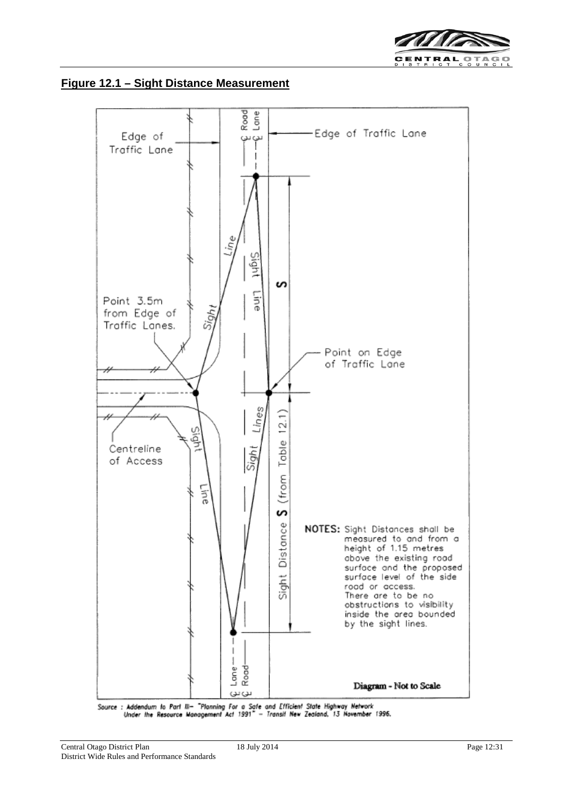





Source : Addendum to Part III- "Planning For a Safe and Efficient State Highway Network Under the Resource Management Act 1991" - Transit New Zealand, 13 November 1996.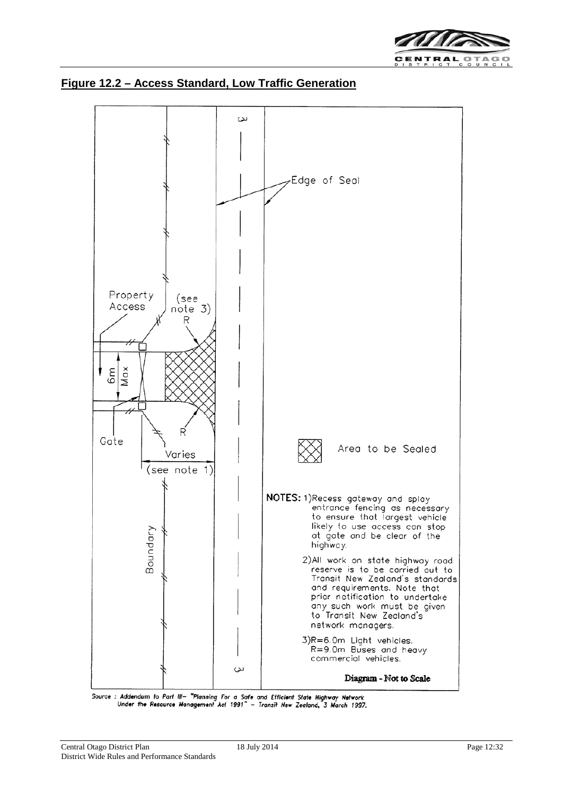



#### **Figure 12.2 – Access Standard, Low Traffic Generation**

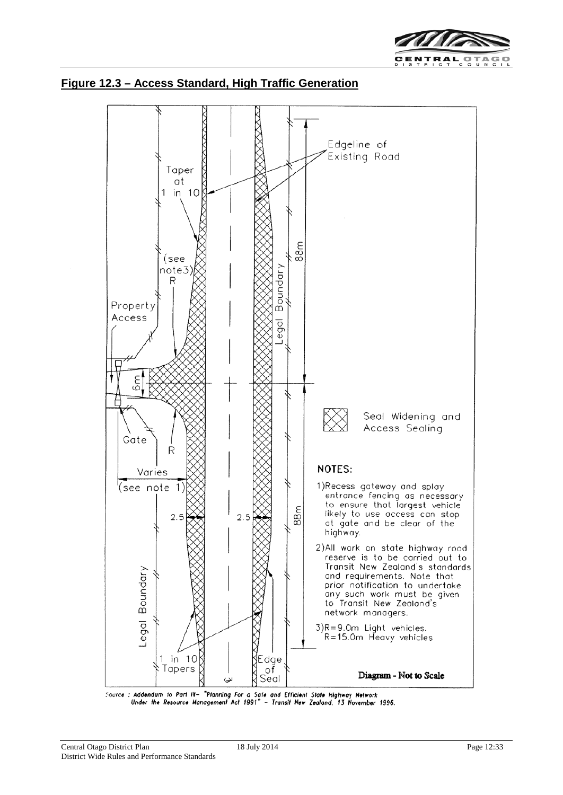



### **Figure 12.3 – Access Standard, High Traffic Generation**

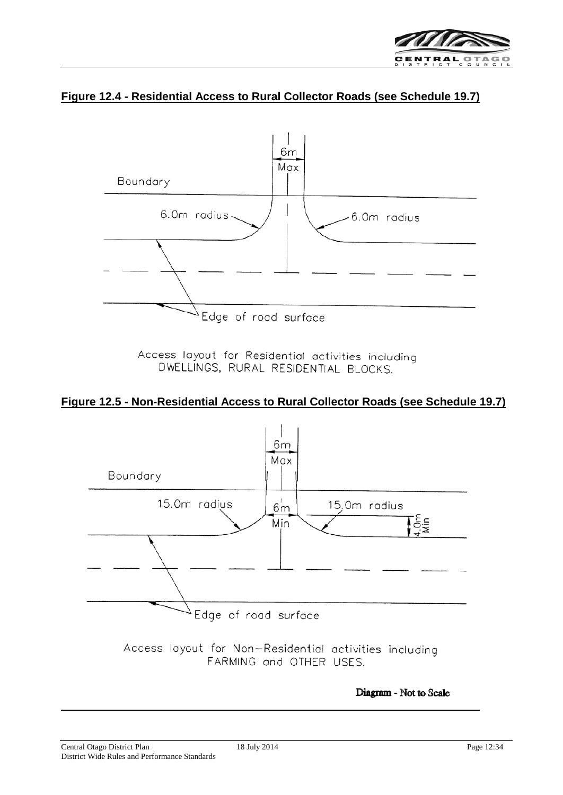

## **Figure 12.4 - Residential Access to Rural Collector Roads (see Schedule 19.7)**



Access layout for Residential activities including DWELLINGS, RURAL RESIDENTIAL BLOCKS.

## **Figure 12.5 - Non-Residential Access to Rural Collector Roads (see Schedule 19.7)**



Access layout for Non-Residential activities including FARMING and OTHER USES.

Diagram - Not to Scale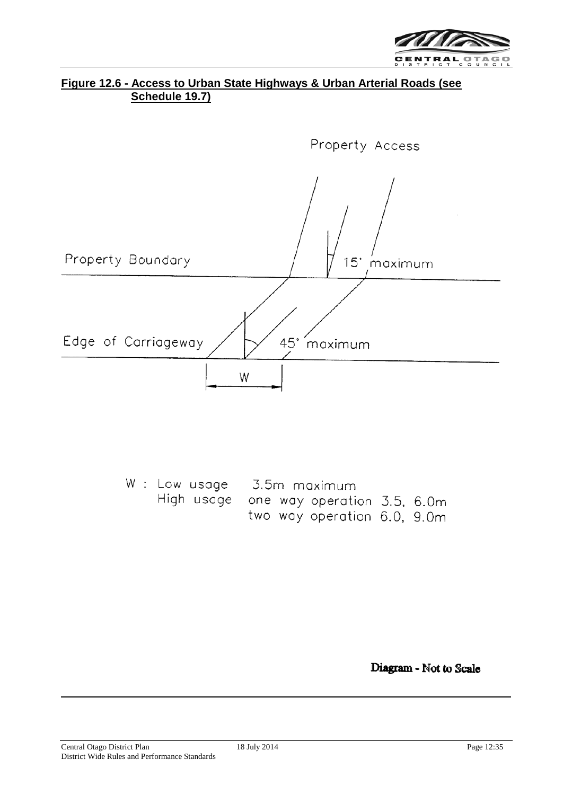

## **Figure 12.6 - Access to Urban State Highways & Urban Arterial Roads (see Schedule 19.7)**



|  |  |  | W: Low usage 3.5m maximum              |  |
|--|--|--|----------------------------------------|--|
|  |  |  | High usage one way operation 3.5, 6.0m |  |
|  |  |  | two way operation 6.0, 9.0m            |  |

Diagram - Not to Scale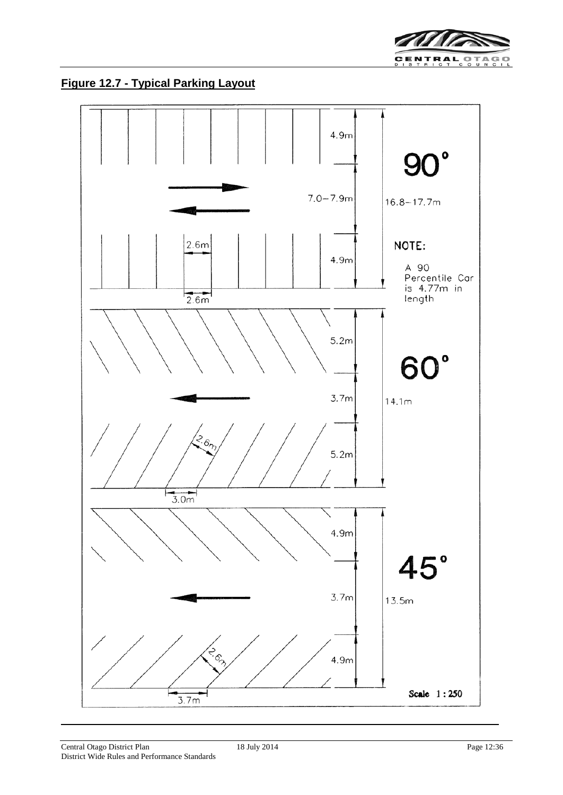

**Figure 12.7 - Typical Parking Layout**

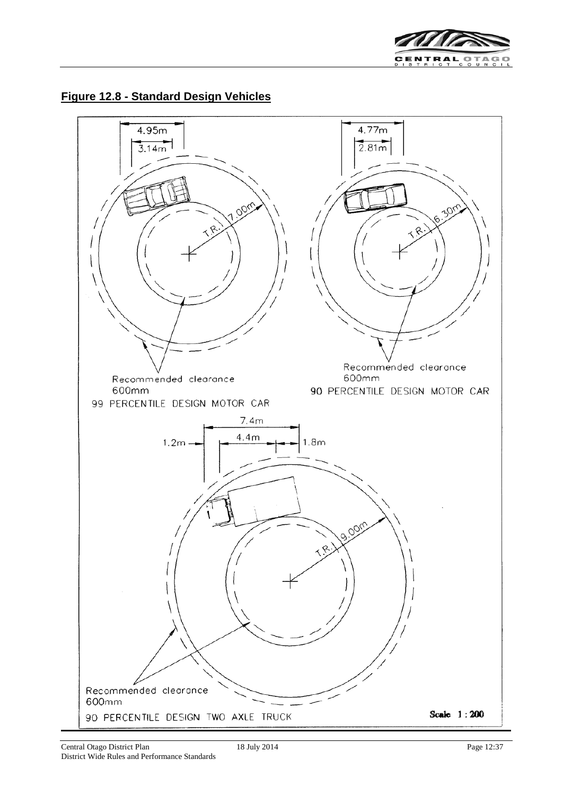

## **Figure 12.8 - Standard Design Vehicles**